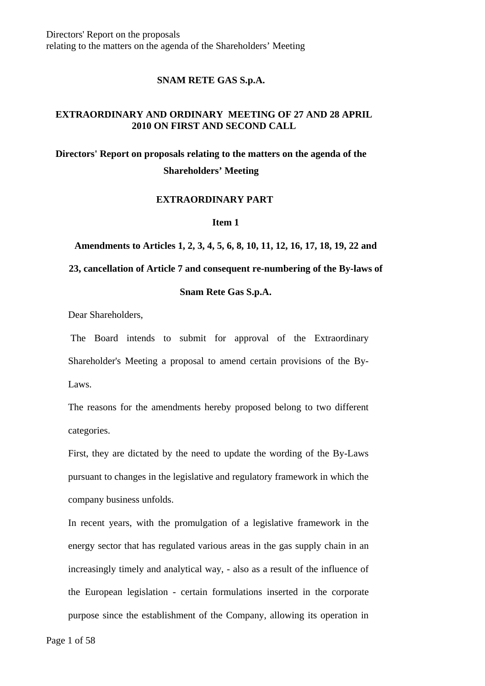Directors' Report on the proposals relating to the matters on the agenda of the Shareholders' Meeting

### **SNAM RETE GAS S.p.A.**

### **EXTRAORDINARY AND ORDINARY MEETING OF 27 AND 28 APRIL 2010 ON FIRST AND SECOND CALL**

**Directors' Report on proposals relating to the matters on the agenda of the Shareholders' Meeting** 

#### **EXTRAORDINARY PART**

#### **Item 1**

**Amendments to Articles 1, 2, 3, 4, 5, 6, 8, 10, 11, 12, 16, 17, 18, 19, 22 and** 

#### **23, cancellation of Article 7 and consequent re-numbering of the By-laws of**

# **Snam Rete Gas S.p.A.**

Dear Shareholders,

 The Board intends to submit for approval of the Extraordinary Shareholder's Meeting a proposal to amend certain provisions of the By-Laws.

The reasons for the amendments hereby proposed belong to two different categories.

First, they are dictated by the need to update the wording of the By-Laws pursuant to changes in the legislative and regulatory framework in which the company business unfolds.

In recent years, with the promulgation of a legislative framework in the energy sector that has regulated various areas in the gas supply chain in an increasingly timely and analytical way, - also as a result of the influence of the European legislation - certain formulations inserted in the corporate purpose since the establishment of the Company, allowing its operation in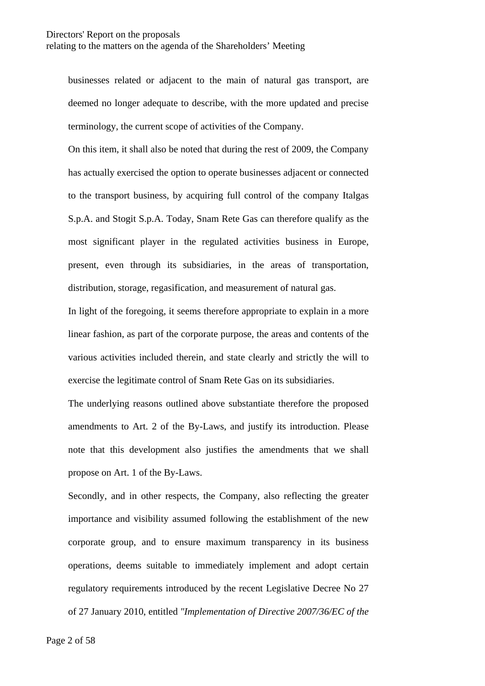businesses related or adjacent to the main of natural gas transport, are deemed no longer adequate to describe, with the more updated and precise terminology, the current scope of activities of the Company.

On this item, it shall also be noted that during the rest of 2009, the Company has actually exercised the option to operate businesses adjacent or connected to the transport business, by acquiring full control of the company Italgas S.p.A. and Stogit S.p.A. Today, Snam Rete Gas can therefore qualify as the most significant player in the regulated activities business in Europe, present, even through its subsidiaries, in the areas of transportation, distribution, storage, regasification, and measurement of natural gas.

In light of the foregoing, it seems therefore appropriate to explain in a more linear fashion, as part of the corporate purpose, the areas and contents of the various activities included therein, and state clearly and strictly the will to exercise the legitimate control of Snam Rete Gas on its subsidiaries.

The underlying reasons outlined above substantiate therefore the proposed amendments to Art. 2 of the By-Laws, and justify its introduction. Please note that this development also justifies the amendments that we shall propose on Art. 1 of the By-Laws.

Secondly, and in other respects, the Company, also reflecting the greater importance and visibility assumed following the establishment of the new corporate group, and to ensure maximum transparency in its business operations, deems suitable to immediately implement and adopt certain regulatory requirements introduced by the recent Legislative Decree No 27 of 27 January 2010, entitled *"Implementation of Directive 2007/36/EC of the*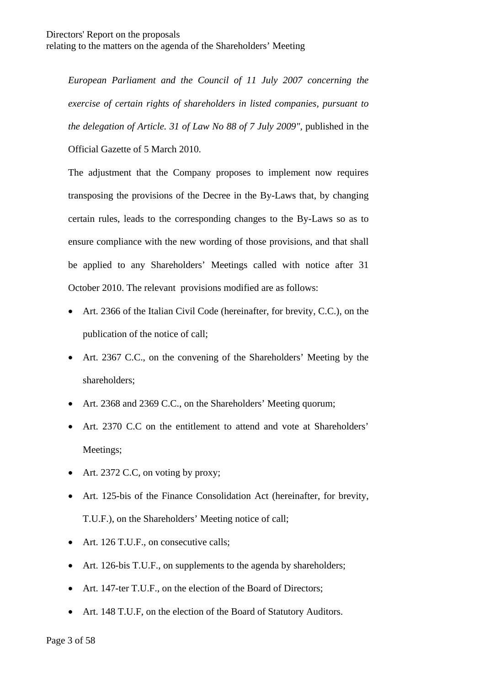*European Parliament and the Council of 11 July 2007 concerning the exercise of certain rights of shareholders in listed companies, pursuant to the delegation of Article. 31 of Law No 88 of 7 July 2009",* published in the Official Gazette of 5 March 2010.

The adjustment that the Company proposes to implement now requires transposing the provisions of the Decree in the By-Laws that, by changing certain rules, leads to the corresponding changes to the By-Laws so as to ensure compliance with the new wording of those provisions, and that shall be applied to any Shareholders' Meetings called with notice after 31 October 2010. The relevant provisions modified are as follows:

- Art. 2366 of the Italian Civil Code (hereinafter, for brevity, C.C.), on the publication of the notice of call;
- Art. 2367 C.C., on the convening of the Shareholders' Meeting by the shareholders;
- Art. 2368 and 2369 C.C., on the Shareholders' Meeting quorum;
- Art. 2370 C.C on the entitlement to attend and vote at Shareholders' Meetings;
- Art. 2372 C.C, on voting by proxy;
- Art. 125-bis of the Finance Consolidation Act (hereinafter, for brevity, T.U.F.), on the Shareholders' Meeting notice of call;
- Art. 126 T.U.F., on consecutive calls;
- Art. 126-bis T.U.F., on supplements to the agenda by shareholders;
- Art. 147-ter T.U.F., on the election of the Board of Directors;
- Art. 148 T.U.F, on the election of the Board of Statutory Auditors.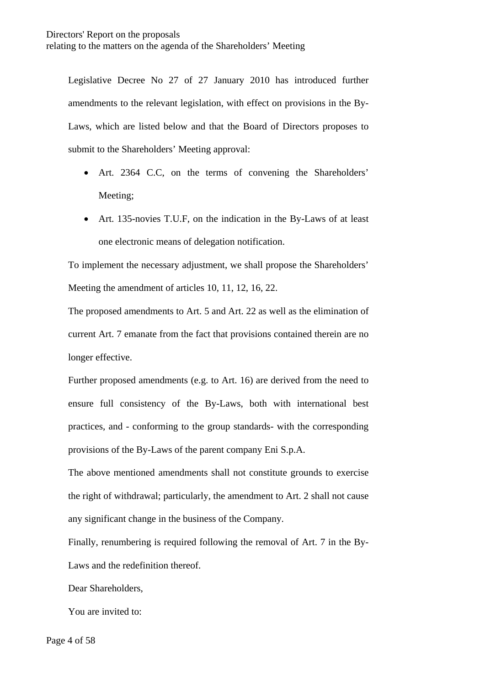Legislative Decree No 27 of 27 January 2010 has introduced further amendments to the relevant legislation, with effect on provisions in the By-Laws, which are listed below and that the Board of Directors proposes to submit to the Shareholders' Meeting approval:

- Art. 2364 C.C, on the terms of convening the Shareholders' Meeting;
- Art. 135-novies T.U.F. on the indication in the By-Laws of at least one electronic means of delegation notification.

To implement the necessary adjustment, we shall propose the Shareholders' Meeting the amendment of articles 10, 11, 12, 16, 22.

The proposed amendments to Art. 5 and Art. 22 as well as the elimination of current Art. 7 emanate from the fact that provisions contained therein are no longer effective.

Further proposed amendments (e.g. to Art. 16) are derived from the need to ensure full consistency of the By-Laws, both with international best practices, and - conforming to the group standards- with the corresponding provisions of the By-Laws of the parent company Eni S.p.A.

The above mentioned amendments shall not constitute grounds to exercise the right of withdrawal; particularly, the amendment to Art. 2 shall not cause any significant change in the business of the Company.

Finally, renumbering is required following the removal of Art. 7 in the By-Laws and the redefinition thereof.

Dear Shareholders,

You are invited to: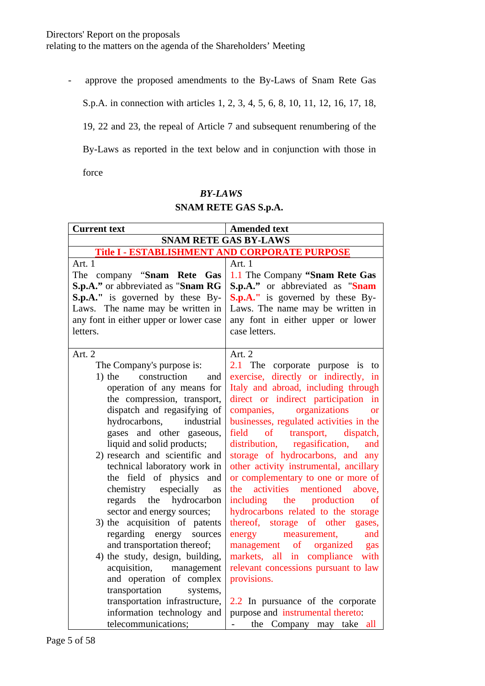- approve the proposed amendments to the By-Laws of Snam Rete Gas

S.p.A. in connection with articles 1, 2, 3, 4, 5, 6, 8, 10, 11, 12, 16, 17, 18,

19, 22 and 23, the repeal of Article 7 and subsequent renumbering of the

By-Laws as reported in the text below and in conjunction with those in

force

# *BY-LAWS*

# **SNAM RETE GAS S.p.A.**

| <b>Current text</b>                                                                                                                                                                                                                                                                                                                                                                                                                                                                                                                                                                                                                                                                                                                     | <b>Amended text</b>                                                                                                                                                                                                                                                                                                                                                                                                                                                                                                                                                                                                                                                                                                                                                                                                                                                           |  |
|-----------------------------------------------------------------------------------------------------------------------------------------------------------------------------------------------------------------------------------------------------------------------------------------------------------------------------------------------------------------------------------------------------------------------------------------------------------------------------------------------------------------------------------------------------------------------------------------------------------------------------------------------------------------------------------------------------------------------------------------|-------------------------------------------------------------------------------------------------------------------------------------------------------------------------------------------------------------------------------------------------------------------------------------------------------------------------------------------------------------------------------------------------------------------------------------------------------------------------------------------------------------------------------------------------------------------------------------------------------------------------------------------------------------------------------------------------------------------------------------------------------------------------------------------------------------------------------------------------------------------------------|--|
| <b>SNAM RETE GAS BY-LAWS</b>                                                                                                                                                                                                                                                                                                                                                                                                                                                                                                                                                                                                                                                                                                            |                                                                                                                                                                                                                                                                                                                                                                                                                                                                                                                                                                                                                                                                                                                                                                                                                                                                               |  |
| Title I - ESTABLISHMENT AND CORPORATE PURPOSE                                                                                                                                                                                                                                                                                                                                                                                                                                                                                                                                                                                                                                                                                           |                                                                                                                                                                                                                                                                                                                                                                                                                                                                                                                                                                                                                                                                                                                                                                                                                                                                               |  |
| Art. 1<br>The company "Snam Rete Gas<br>S.p.A." or abbreviated as "Snam RG<br>$S.p.A.''$ is governed by these By-<br>Laws. The name may be written in<br>any font in either upper or lower case<br>letters.                                                                                                                                                                                                                                                                                                                                                                                                                                                                                                                             | Art. 1<br>1.1 The Company "Snam Rete Gas<br>S.p.A." or abbreviated as "Snam<br>S.p.A." is governed by these By-<br>Laws. The name may be written in<br>any font in either upper or lower<br>case letters.                                                                                                                                                                                                                                                                                                                                                                                                                                                                                                                                                                                                                                                                     |  |
| Art. 2<br>The Company's purpose is:<br>construction<br>$1)$ the<br>and<br>operation of any means for<br>the compression, transport,<br>dispatch and regasifying of<br>industrial<br>hydrocarbons,<br>gases and other gaseous,<br>liquid and solid products;<br>2) research and scientific and<br>technical laboratory work in<br>the field of physics and<br>chemistry especially<br>as<br>regards the hydrocarbon<br>sector and energy sources;<br>3) the acquisition of patents<br>regarding energy<br>sources<br>and transportation thereof;<br>4) the study, design, building,<br>acquisition, management<br>and operation of complex<br>transportation<br>systems,<br>transportation infrastructure,<br>information technology and | Art. 2<br>The corporate purpose is<br>2.1<br>to<br>exercise, directly or indirectly, in<br>Italy and abroad, including through<br>direct or indirect participation in<br>companies, organizations<br><b>or</b><br>businesses, regulated activities in the<br>field<br>$\sigma$ of<br>transport, dispatch,<br>distribution, regasification,<br>and<br>storage of hydrocarbons, and any<br>other activity instrumental, ancillary<br>or complementary to one or more of<br>the activities mentioned<br>above,<br>including the production<br><sub>of</sub><br>hydrocarbons related to the storage<br>thereof, storage of other gases,<br>energy<br>measurement,<br>and<br>management of organized<br>gas<br>markets, all in compliance<br>with<br>relevant concessions pursuant to law<br>provisions.<br>2.2 In pursuance of the corporate<br>purpose and instrumental thereto: |  |
| telecommunications;                                                                                                                                                                                                                                                                                                                                                                                                                                                                                                                                                                                                                                                                                                                     | the Company may take all<br>$\mathbf{L} = \mathbf{0}$                                                                                                                                                                                                                                                                                                                                                                                                                                                                                                                                                                                                                                                                                                                                                                                                                         |  |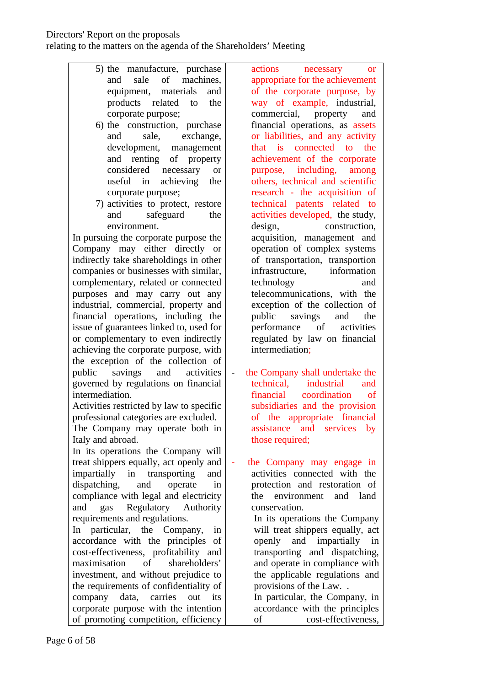- 5) the manufacture, purchase and sale of machines, equipment, materials and products related to the corporate purpose;
- 6) the construction, purchase and sale, exchange, development, management and renting of property considered necessary or useful in achieving the corporate purpose;
- 7) activities to protect, restore and safeguard the environment.

In pursuing the corporate purpose the Company may either directly or indirectly take shareholdings in other companies or businesses with similar, complementary, related or connected purposes and may carry out any industrial, commercial, property and financial operations, including the issue of guarantees linked to, used for or complementary to even indirectly achieving the corporate purpose, with the exception of the collection of public savings and activities governed by regulations on financial intermediation.

Activities restricted by law to specific professional categories are excluded.

The Company may operate both in Italy and abroad.

In its operations the Company will treat shippers equally, act openly and impartially in transporting and dispatching, and operate in compliance with legal and electricity and gas Regulatory Authority requirements and regulations.

In particular, the Company, in accordance with the principles of cost-effectiveness, profitability and maximisation of shareholders' investment, and without prejudice to the requirements of confidentiality of company data, carries out its corporate purpose with the intention of promoting competition, efficiency

actions necessary or appropriate for the achievement of the corporate purpose, by way of example, industrial, commercial, property and financial operations, as assets or liabilities, and any activity that is connected to the achievement of the corporate purpose, including, among others, technical and scientific research - the acquisition of technical patents related to activities developed, the study, design, construction, acquisition, management and operation of complex systems of transportation, transportion infrastructure, information technology and telecommunications, with the exception of the collection of public savings and the performance of activities regulated by law on financial intermediation;

the Company shall undertake the technical, industrial and financial coordination of subsidiaries and the provision of the appropriate financial assistance and services by those required;

- the Company may engage in activities connected with the protection and restoration of the environment and land conservation.

In its operations the Company will treat shippers equally, act openly and impartially in transporting and dispatching, and operate in compliance with the applicable regulations and provisions of the Law. .

In particular, the Company, in accordance with the principles of cost-effectiveness,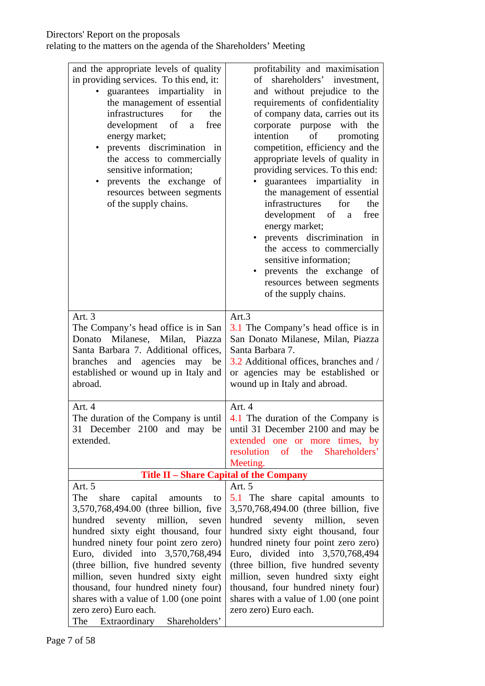| and the appropriate levels of quality<br>in providing services. To this end, it:<br>guarantees impartiality in<br>the management of essential<br>infrastructures<br>for<br>the<br>development of<br>free<br>a<br>energy market;<br>prevents discrimination in<br>the access to commercially<br>sensitive information;<br>prevents the exchange<br>of<br>resources between segments<br>of the supply chains.                                                             | profitability and maximisation<br>shareholders' investment,<br>of<br>and without prejudice to the<br>requirements of confidentiality<br>of company data, carries out its<br>corporate purpose with the<br>intention<br>of<br>promoting<br>competition, efficiency and the<br>appropriate levels of quality in<br>providing services. To this end:<br>guarantees impartiality in<br>the management of essential<br>infrastructures<br>for<br>the<br>development of<br>free<br>a<br>energy market;<br>prevents discrimination in<br>the access to commercially<br>sensitive information;<br>prevents the exchange of<br>resources between segments<br>of the supply chains. |
|-------------------------------------------------------------------------------------------------------------------------------------------------------------------------------------------------------------------------------------------------------------------------------------------------------------------------------------------------------------------------------------------------------------------------------------------------------------------------|---------------------------------------------------------------------------------------------------------------------------------------------------------------------------------------------------------------------------------------------------------------------------------------------------------------------------------------------------------------------------------------------------------------------------------------------------------------------------------------------------------------------------------------------------------------------------------------------------------------------------------------------------------------------------|
| Art. 3<br>The Company's head office is in San<br>Donato Milanese, Milan, Piazza<br>Santa Barbara 7. Additional offices,<br>branches and agencies may be<br>established or wound up in Italy and<br>abroad.                                                                                                                                                                                                                                                              | Art.3<br>3.1 The Company's head office is in<br>San Donato Milanese, Milan, Piazza<br>Santa Barbara 7.<br>3.2 Additional offices, branches and /<br>or agencies may be established or<br>wound up in Italy and abroad.                                                                                                                                                                                                                                                                                                                                                                                                                                                    |
| Art. 4<br>The duration of the Company is until<br>31 December 2100 and may be<br>extended.                                                                                                                                                                                                                                                                                                                                                                              | Art. 4<br>4.1 The duration of the Company is<br>until 31 December 2100 and may be<br>extended one or more times, by<br>resolution of the Shareholders'<br>Meeting.                                                                                                                                                                                                                                                                                                                                                                                                                                                                                                        |
|                                                                                                                                                                                                                                                                                                                                                                                                                                                                         | Title II – Share Capital of the Company                                                                                                                                                                                                                                                                                                                                                                                                                                                                                                                                                                                                                                   |
| Art. 5<br>The<br>share<br>capital amounts<br>to<br>3,570,768,494.00 (three billion, five<br>hundred seventy million, seven<br>hundred sixty eight thousand, four<br>hundred ninety four point zero zero)<br>Euro, divided into 3,570,768,494<br>(three billion, five hundred seventy<br>million, seven hundred sixty eight<br>thousand, four hundred ninety four)<br>shares with a value of 1.00 (one point<br>zero zero) Euro each.<br>The Extraordinary Shareholders' | Art. 5<br>5.1 The share capital amounts to<br>3,570,768,494.00 (three billion, five<br>hundred seventy million, seven<br>hundred sixty eight thousand, four<br>hundred ninety four point zero zero)<br>Euro, divided into 3,570,768,494<br>(three billion, five hundred seventy<br>million, seven hundred sixty eight<br>thousand, four hundred ninety four)<br>shares with a value of 1.00 (one point<br>zero zero) Euro each.                                                                                                                                                                                                                                           |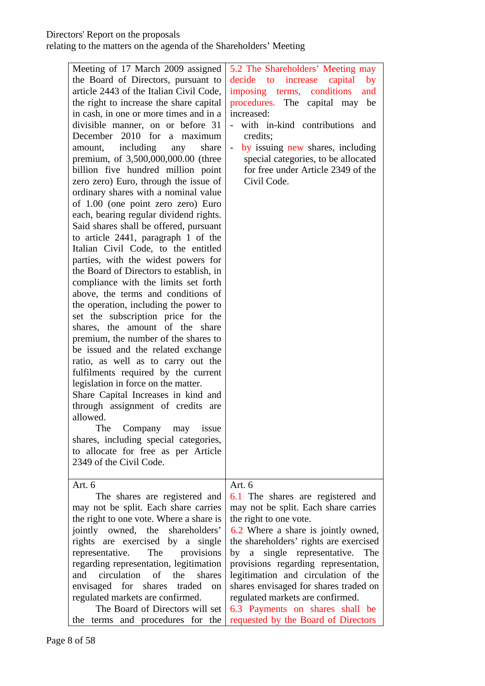### Directors' Report on the proposals

| Meeting of 17 March 2009 assigned<br>the Board of Directors, pursuant to<br>article 2443 of the Italian Civil Code,<br>the right to increase the share capital<br>in cash, in one or more times and in a<br>divisible manner, on or before 31<br>December 2010 for<br>a maximum<br>including<br>share<br>amount,<br>any<br>premium, of 3,500,000,000.00 (three<br>billion five hundred million point<br>zero zero) Euro, through the issue of<br>ordinary shares with a nominal value<br>of 1.00 (one point zero zero) Euro<br>each, bearing regular dividend rights.<br>Said shares shall be offered, pursuant<br>to article 2441, paragraph 1 of the<br>Italian Civil Code, to the entitled<br>parties, with the widest powers for<br>the Board of Directors to establish, in<br>compliance with the limits set forth<br>above, the terms and conditions of<br>the operation, including the power to<br>set the subscription price for the<br>shares, the amount of the share<br>premium, the number of the shares to<br>be issued and the related exchange<br>ratio, as well as to carry out the<br>fulfilments required by the current<br>legislation in force on the matter.<br>Share Capital Increases in kind and<br>through assignment of credits are<br>allowed.<br>Company<br>may<br>The<br><i>issue</i><br>shares, including special categories,<br>to allocate for free as per Article | 5.2 The Shareholders' Meeting may<br>increase<br>by<br>decide to<br>capital<br>imposing terms, conditions<br>and<br>procedures. The capital may be<br>increased:<br>with in-kind contributions<br>and<br>credits;<br>by issuing new shares, including<br>special categories, to be allocated<br>for free under Article 2349 of the<br>Civil Code.                                                                              |
|----------------------------------------------------------------------------------------------------------------------------------------------------------------------------------------------------------------------------------------------------------------------------------------------------------------------------------------------------------------------------------------------------------------------------------------------------------------------------------------------------------------------------------------------------------------------------------------------------------------------------------------------------------------------------------------------------------------------------------------------------------------------------------------------------------------------------------------------------------------------------------------------------------------------------------------------------------------------------------------------------------------------------------------------------------------------------------------------------------------------------------------------------------------------------------------------------------------------------------------------------------------------------------------------------------------------------------------------------------------------------------------------------|--------------------------------------------------------------------------------------------------------------------------------------------------------------------------------------------------------------------------------------------------------------------------------------------------------------------------------------------------------------------------------------------------------------------------------|
| 2349 of the Civil Code.                                                                                                                                                                                                                                                                                                                                                                                                                                                                                                                                                                                                                                                                                                                                                                                                                                                                                                                                                                                                                                                                                                                                                                                                                                                                                                                                                                            |                                                                                                                                                                                                                                                                                                                                                                                                                                |
| Art. 6<br>The shares are registered and                                                                                                                                                                                                                                                                                                                                                                                                                                                                                                                                                                                                                                                                                                                                                                                                                                                                                                                                                                                                                                                                                                                                                                                                                                                                                                                                                            | Art. 6<br>6.1 The shares are registered and                                                                                                                                                                                                                                                                                                                                                                                    |
| may not be split. Each share carries<br>the right to one vote. Where a share is<br>jointly owned, the<br>shareholders'<br>rights are exercised by a single<br>representative.<br>The<br>provisions<br>regarding representation, legitimation<br>circulation<br>of<br>the<br>shares<br>and<br>envisaged for shares traded<br><sub>on</sub><br>regulated markets are confirmed.<br>The Board of Directors will set<br>the terms and procedures for the                                                                                                                                                                                                                                                                                                                                                                                                                                                                                                                                                                                                                                                                                                                                                                                                                                                                                                                                               | may not be split. Each share carries<br>the right to one vote.<br>6.2 Where a share is jointly owned,<br>the shareholders' rights are exercised<br>single representative.<br>by a<br>The<br>provisions regarding representation,<br>legitimation and circulation of the<br>shares envisaged for shares traded on<br>regulated markets are confirmed.<br>6.3 Payments on shares shall be<br>requested by the Board of Directors |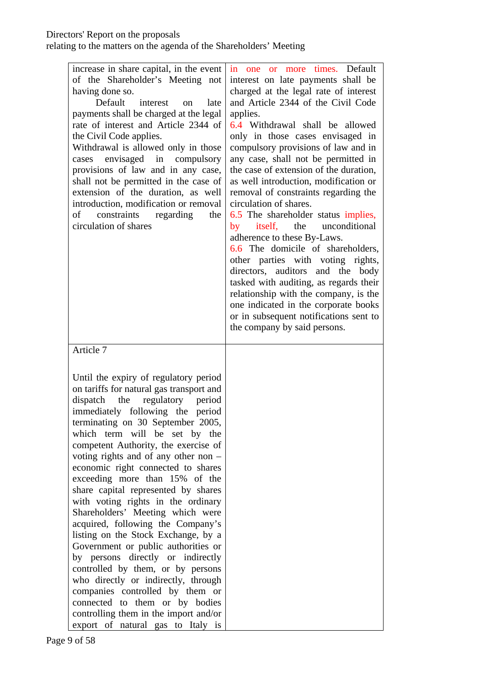| increase in share capital, in the event<br>of the Shareholder's Meeting not<br>having done so.<br>Default<br>interest<br>late<br><sub>on</sub><br>payments shall be charged at the legal<br>rate of interest and Article 2344 of<br>the Civil Code applies.<br>Withdrawal is allowed only in those<br>cases envisaged in compulsory<br>provisions of law and in any case,<br>shall not be permitted in the case of<br>extension of the duration, as well<br>introduction, modification or removal<br>constraints<br>regarding<br>the<br>οf<br>circulation of shares                                                                                                                                                                                                                                                                                                                                                   | in one or more<br>times. Default<br>interest on late payments shall be<br>charged at the legal rate of interest<br>and Article 2344 of the Civil Code<br>applies.<br>6.4 Withdrawal shall be allowed<br>only in those cases envisaged in<br>compulsory provisions of law and in<br>any case, shall not be permitted in<br>the case of extension of the duration,<br>as well introduction, modification or<br>removal of constraints regarding the<br>circulation of shares.<br>6.5 The shareholder status implies,<br>unconditional<br>itself,<br>the<br>by<br>adherence to these By-Laws.<br>6.6 The domicile of shareholders,<br>other parties with voting rights,<br>directors, auditors and the body<br>tasked with auditing, as regards their<br>relationship with the company, is the<br>one indicated in the corporate books<br>or in subsequent notifications sent to<br>the company by said persons. |
|-----------------------------------------------------------------------------------------------------------------------------------------------------------------------------------------------------------------------------------------------------------------------------------------------------------------------------------------------------------------------------------------------------------------------------------------------------------------------------------------------------------------------------------------------------------------------------------------------------------------------------------------------------------------------------------------------------------------------------------------------------------------------------------------------------------------------------------------------------------------------------------------------------------------------|---------------------------------------------------------------------------------------------------------------------------------------------------------------------------------------------------------------------------------------------------------------------------------------------------------------------------------------------------------------------------------------------------------------------------------------------------------------------------------------------------------------------------------------------------------------------------------------------------------------------------------------------------------------------------------------------------------------------------------------------------------------------------------------------------------------------------------------------------------------------------------------------------------------|
| Article 7<br>Until the expiry of regulatory period<br>on tariffs for natural gas transport and<br>the<br>regulatory<br>dispatch<br>period<br>immediately following the period<br>terminating on 30 September 2005,<br>which term will be set by the<br>competent Authority, the exercise of<br>voting rights and of any other non $-$<br>economic right connected to shares<br>exceeding more than 15% of the<br>share capital represented by shares<br>with voting rights in the ordinary<br>Shareholders' Meeting which were<br>acquired, following the Company's<br>listing on the Stock Exchange, by a<br>Government or public authorities or<br>by persons directly or indirectly<br>controlled by them, or by persons<br>who directly or indirectly, through<br>companies controlled by them or<br>connected to them or by bodies<br>controlling them in the import and/or<br>export of natural gas to Italy is |                                                                                                                                                                                                                                                                                                                                                                                                                                                                                                                                                                                                                                                                                                                                                                                                                                                                                                               |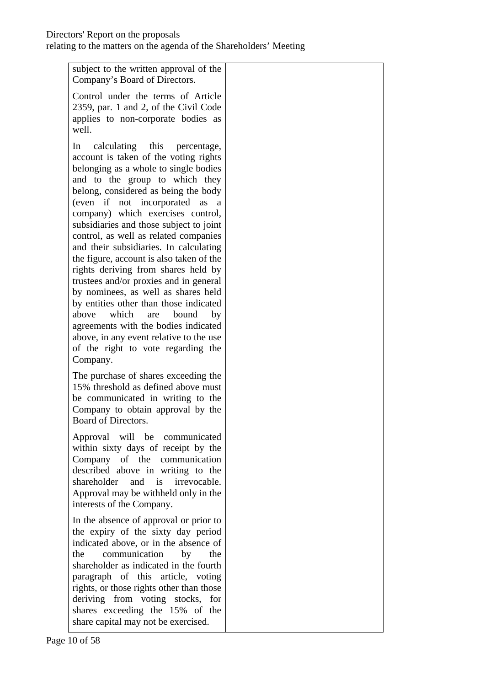| subject to the written approval of the<br>Company's Board of Directors.                                                                                                                                                                                                                                                                                                                                                                                                                                                                                                                                                                                                                                                                                                                                         |  |
|-----------------------------------------------------------------------------------------------------------------------------------------------------------------------------------------------------------------------------------------------------------------------------------------------------------------------------------------------------------------------------------------------------------------------------------------------------------------------------------------------------------------------------------------------------------------------------------------------------------------------------------------------------------------------------------------------------------------------------------------------------------------------------------------------------------------|--|
| Control under the terms of Article<br>2359, par. 1 and 2, of the Civil Code<br>applies to non-corporate bodies as<br>well.                                                                                                                                                                                                                                                                                                                                                                                                                                                                                                                                                                                                                                                                                      |  |
| calculating this<br>In<br>percentage,<br>account is taken of the voting rights<br>belonging as a whole to single bodies<br>and to the group to which they<br>belong, considered as being the body<br>(even if not incorporated as<br><sub>a</sub><br>company) which exercises control,<br>subsidiaries and those subject to joint<br>control, as well as related companies<br>and their subsidiaries. In calculating<br>the figure, account is also taken of the<br>rights deriving from shares held by<br>trustees and/or proxies and in general<br>by nominees, as well as shares held<br>by entities other than those indicated<br>above<br>which<br>bound<br>by<br>are<br>agreements with the bodies indicated<br>above, in any event relative to the use<br>of the right to vote regarding the<br>Company. |  |
| The purchase of shares exceeding the<br>15% threshold as defined above must<br>be communicated in writing to the<br>Company to obtain approval by the<br>Board of Directors.                                                                                                                                                                                                                                                                                                                                                                                                                                                                                                                                                                                                                                    |  |
| Approval will be communicated<br>within sixty days of receipt by the<br>Company of the communication<br>described above in writing to the<br>and is irrevocable.<br>shareholder<br>Approval may be withheld only in the<br>interests of the Company.                                                                                                                                                                                                                                                                                                                                                                                                                                                                                                                                                            |  |
| In the absence of approval or prior to<br>the expiry of the sixty day period<br>indicated above, or in the absence of<br>communication<br>the<br>by<br>the<br>shareholder as indicated in the fourth<br>paragraph of this article, voting<br>rights, or those rights other than those<br>deriving from voting stocks, for<br>shares exceeding the 15% of the<br>share capital may not be exercised.                                                                                                                                                                                                                                                                                                                                                                                                             |  |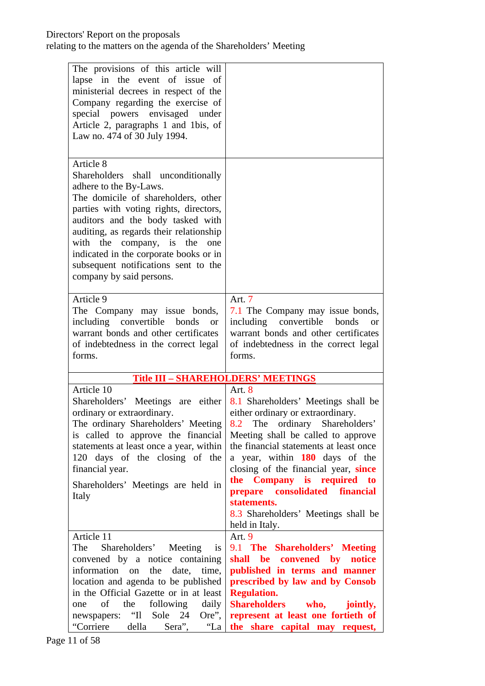### Directors' Report on the proposals

| The provisions of this article will<br>lapse in the event of issue<br>of<br>ministerial decrees in respect of the<br>Company regarding the exercise of<br>special powers envisaged under<br>Article 2, paragraphs 1 and 1bis, of<br>Law no. 474 of 30 July 1994.                                                                                                                            |                                                                                                                                                                                                                                                                                                                                                                                                                                                            |
|---------------------------------------------------------------------------------------------------------------------------------------------------------------------------------------------------------------------------------------------------------------------------------------------------------------------------------------------------------------------------------------------|------------------------------------------------------------------------------------------------------------------------------------------------------------------------------------------------------------------------------------------------------------------------------------------------------------------------------------------------------------------------------------------------------------------------------------------------------------|
| Article 8<br>Shareholders shall unconditionally<br>adhere to the By-Laws.<br>The domicile of shareholders, other<br>parties with voting rights, directors,<br>auditors and the body tasked with<br>auditing, as regards their relationship<br>with the company, is the<br>one<br>indicated in the corporate books or in<br>subsequent notifications sent to the<br>company by said persons. |                                                                                                                                                                                                                                                                                                                                                                                                                                                            |
| Article 9<br>The Company may issue bonds,<br>including convertible<br>bonds<br><b>or</b><br>warrant bonds and other certificates<br>of indebtedness in the correct legal<br>forms.                                                                                                                                                                                                          | Art. 7<br>7.1 The Company may issue bonds,<br>including convertible<br>bonds<br>or<br>warrant bonds and other certificates<br>of indebtedness in the correct legal<br>forms.                                                                                                                                                                                                                                                                               |
| <b>Title III - SHAREHOLDERS' MEETINGS</b>                                                                                                                                                                                                                                                                                                                                                   |                                                                                                                                                                                                                                                                                                                                                                                                                                                            |
| Article 10<br>ordinary or extraordinary.<br>The ordinary Shareholders' Meeting  <br>is called to approve the financial<br>statements at least once a year, within<br>120 days of the closing of the<br>financial year.<br>Shareholders' Meetings are held in<br>Italy                                                                                                                       | Art. 8<br>Shareholders' Meetings are either $8.1$ Shareholders' Meetings shall be<br>either ordinary or extraordinary.<br>8.2 The ordinary Shareholders'<br>Meeting shall be called to approve<br>the financial statements at least once<br>a year, within 180 days of the<br>closing of the financial year, since<br>the Company is required to<br>prepare consolidated financial<br>statements.<br>8.3 Shareholders' Meetings shall be<br>held in Italy. |
| Article 11<br>Shareholders' Meeting is<br>The<br>convened by a notice containing<br>information on the<br>date,<br>time,<br>location and agenda to be published<br>in the Official Gazette or in at least<br>of<br>the following<br>daily<br>one<br>newspapers: "Il Sole 24<br>Ore",<br>"Corriere<br>"La<br>della<br>Sera",                                                                 | Art. 9<br>9.1 The Shareholders' Meeting<br>shall be convened by notice<br>published in terms and manner<br>prescribed by law and by Consob<br><b>Regulation.</b><br><b>Shareholders</b> who,<br>jointly,<br>represent at least one fortieth of<br>the share capital may request,                                                                                                                                                                           |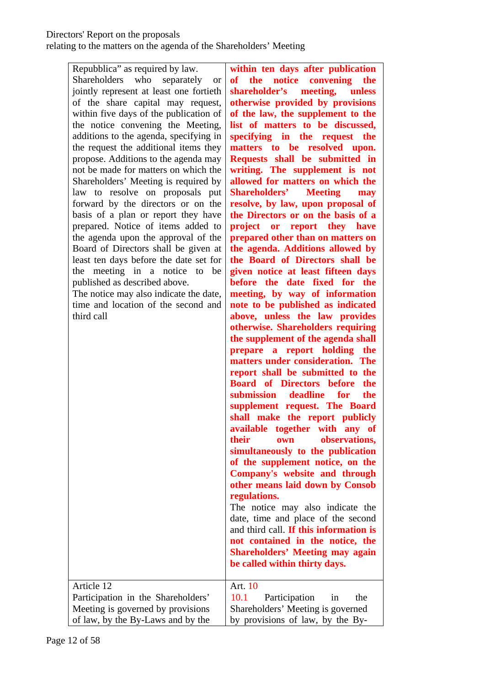# Directors' Report on the proposals

| Repubblica" as required by law.<br>who<br>separately<br><b>Shareholders</b><br><b>or</b><br>jointly represent at least one fortieth<br>of the share capital may request,<br>within five days of the publication of<br>the notice convening the Meeting,<br>additions to the agenda, specifying in<br>the request the additional items they<br>propose. Additions to the agenda may<br>not be made for matters on which the<br>Shareholders' Meeting is required by<br>law to resolve on proposals put<br>forward by the directors or on the<br>basis of a plan or report they have<br>prepared. Notice of items added to<br>the agenda upon the approval of the<br>Board of Directors shall be given at<br>least ten days before the date set for<br>the meeting in a notice<br>be<br>to<br>published as described above.<br>The notice may also indicate the date,<br>time and location of the second and<br>third call | within ten days after publication<br>the<br>notice<br>convening<br><b>of</b><br>the<br>shareholder's meeting,<br>unless<br>otherwise provided by provisions<br>of the law, the supplement to the<br>list of matters to be discussed,<br>specifying in the request the<br>matters to be resolved upon.<br>Requests shall be submitted in<br>writing. The supplement is not<br>allowed for matters on which the<br><b>Shareholders'</b><br><b>Meeting</b><br>may<br>resolve, by law, upon proposal of<br>the Directors or on the basis of a<br>project or report they have<br>prepared other than on matters on<br>the agenda. Additions allowed by<br>the Board of Directors shall be<br>given notice at least fifteen days<br>before the date fixed for the<br>meeting, by way of information<br>note to be published as indicated<br>above, unless the law provides<br>otherwise. Shareholders requiring<br>the supplement of the agenda shall<br>prepare a report holding<br>the<br>matters under consideration. The<br>report shall be submitted to the<br><b>Board of Directors before</b><br>the<br>submission deadline for<br>the<br>supplement request. The Board<br>shall make the report publicly<br>available together with any of<br>their<br>observations,<br>own<br>simultaneously to the publication<br>of the supplement notice, on the<br>Company's website and through<br>other means laid down by Consob<br>regulations.<br>The notice may also indicate the |
|--------------------------------------------------------------------------------------------------------------------------------------------------------------------------------------------------------------------------------------------------------------------------------------------------------------------------------------------------------------------------------------------------------------------------------------------------------------------------------------------------------------------------------------------------------------------------------------------------------------------------------------------------------------------------------------------------------------------------------------------------------------------------------------------------------------------------------------------------------------------------------------------------------------------------|--------------------------------------------------------------------------------------------------------------------------------------------------------------------------------------------------------------------------------------------------------------------------------------------------------------------------------------------------------------------------------------------------------------------------------------------------------------------------------------------------------------------------------------------------------------------------------------------------------------------------------------------------------------------------------------------------------------------------------------------------------------------------------------------------------------------------------------------------------------------------------------------------------------------------------------------------------------------------------------------------------------------------------------------------------------------------------------------------------------------------------------------------------------------------------------------------------------------------------------------------------------------------------------------------------------------------------------------------------------------------------------------------------------------------------------------------------------------------------|
|                                                                                                                                                                                                                                                                                                                                                                                                                                                                                                                                                                                                                                                                                                                                                                                                                                                                                                                          | date, time and place of the second<br>and third call. If this information is<br>not contained in the notice, the<br><b>Shareholders' Meeting may again</b>                                                                                                                                                                                                                                                                                                                                                                                                                                                                                                                                                                                                                                                                                                                                                                                                                                                                                                                                                                                                                                                                                                                                                                                                                                                                                                                     |
|                                                                                                                                                                                                                                                                                                                                                                                                                                                                                                                                                                                                                                                                                                                                                                                                                                                                                                                          | be called within thirty days.                                                                                                                                                                                                                                                                                                                                                                                                                                                                                                                                                                                                                                                                                                                                                                                                                                                                                                                                                                                                                                                                                                                                                                                                                                                                                                                                                                                                                                                  |
| Article 12                                                                                                                                                                                                                                                                                                                                                                                                                                                                                                                                                                                                                                                                                                                                                                                                                                                                                                               | Art. 10<br>10.1<br>Participation<br>in<br>the                                                                                                                                                                                                                                                                                                                                                                                                                                                                                                                                                                                                                                                                                                                                                                                                                                                                                                                                                                                                                                                                                                                                                                                                                                                                                                                                                                                                                                  |
| Participation in the Shareholders'                                                                                                                                                                                                                                                                                                                                                                                                                                                                                                                                                                                                                                                                                                                                                                                                                                                                                       |                                                                                                                                                                                                                                                                                                                                                                                                                                                                                                                                                                                                                                                                                                                                                                                                                                                                                                                                                                                                                                                                                                                                                                                                                                                                                                                                                                                                                                                                                |
| Meeting is governed by provisions                                                                                                                                                                                                                                                                                                                                                                                                                                                                                                                                                                                                                                                                                                                                                                                                                                                                                        | Shareholders' Meeting is governed                                                                                                                                                                                                                                                                                                                                                                                                                                                                                                                                                                                                                                                                                                                                                                                                                                                                                                                                                                                                                                                                                                                                                                                                                                                                                                                                                                                                                                              |
| of law, by the By-Laws and by the                                                                                                                                                                                                                                                                                                                                                                                                                                                                                                                                                                                                                                                                                                                                                                                                                                                                                        | by provisions of law, by the By-                                                                                                                                                                                                                                                                                                                                                                                                                                                                                                                                                                                                                                                                                                                                                                                                                                                                                                                                                                                                                                                                                                                                                                                                                                                                                                                                                                                                                                               |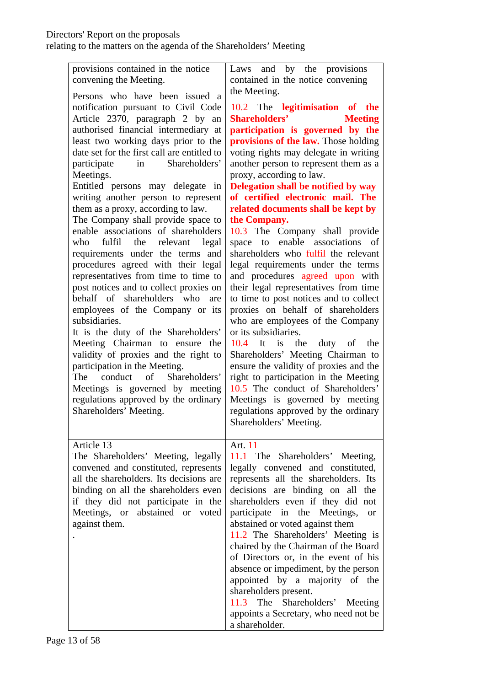| provisions contained in the notice<br>convening the Meeting.                                                                                                                                                                                                                                                                                                                                                                                                                                                                                                                                                                                                                                                                                                                                                                                                                                                                                                                                                                                                                                       | Laws and by the provisions<br>contained in the notice convening                                                                                                                                                                                                                                                                                                                                                                                                                                                                                                                                                                                                                                                                                                                                                                                                                                                                                                                                                                                                                                                    |
|----------------------------------------------------------------------------------------------------------------------------------------------------------------------------------------------------------------------------------------------------------------------------------------------------------------------------------------------------------------------------------------------------------------------------------------------------------------------------------------------------------------------------------------------------------------------------------------------------------------------------------------------------------------------------------------------------------------------------------------------------------------------------------------------------------------------------------------------------------------------------------------------------------------------------------------------------------------------------------------------------------------------------------------------------------------------------------------------------|--------------------------------------------------------------------------------------------------------------------------------------------------------------------------------------------------------------------------------------------------------------------------------------------------------------------------------------------------------------------------------------------------------------------------------------------------------------------------------------------------------------------------------------------------------------------------------------------------------------------------------------------------------------------------------------------------------------------------------------------------------------------------------------------------------------------------------------------------------------------------------------------------------------------------------------------------------------------------------------------------------------------------------------------------------------------------------------------------------------------|
| Persons who have been issued a<br>notification pursuant to Civil Code<br>Article 2370, paragraph 2 by an<br>authorised financial intermediary at<br>least two working days prior to the<br>date set for the first call are entitled to<br>Shareholders'<br>in<br>participate<br>Meetings.<br>Entitled persons may delegate<br>in<br>writing another person to represent<br>them as a proxy, according to law.<br>The Company shall provide space to<br>enable associations of shareholders<br>fulfil<br>who<br>the<br>relevant<br>legal<br>requirements under the terms and<br>procedures agreed with their legal<br>representatives from time to time to<br>post notices and to collect proxies on<br>behalf of shareholders who<br>are<br>employees of the Company or its<br>subsidiaries.<br>It is the duty of the Shareholders'<br>Meeting Chairman to ensure the<br>validity of proxies and the right to<br>participation in the Meeting.<br>$\sigma$<br>conduct<br>Shareholders'<br>The<br>Meetings is governed by meeting<br>regulations approved by the ordinary<br>Shareholders' Meeting. | the Meeting.<br>10.2 The legitimisation of the<br><b>Shareholders'</b><br><b>Meeting</b><br>participation is governed by the<br>provisions of the law. Those holding<br>voting rights may delegate in writing<br>another person to represent them as a<br>proxy, according to law.<br>Delegation shall be notified by way<br>of certified electronic mail. The<br>related documents shall be kept by<br>the Company.<br>10.3 The Company shall provide<br>enable<br>associations<br>space<br>to<br>of<br>shareholders who fulfil the relevant<br>legal requirements under the terms<br>and procedures agreed upon with<br>their legal representatives from time<br>to time to post notices and to collect<br>proxies on behalf of shareholders<br>who are employees of the Company<br>or its subsidiaries.<br>$10.4$ It is<br>the<br>duty of the<br>Shareholders' Meeting Chairman to<br>ensure the validity of proxies and the<br>right to participation in the Meeting<br>10.5 The conduct of Shareholders'<br>Meetings is governed by meeting<br>regulations approved by the ordinary<br>Shareholders' Meeting. |
| Article 13<br>The Shareholders' Meeting, legally<br>convened and constituted, represents<br>all the shareholders. Its decisions are<br>binding on all the shareholders even<br>if they did not participate in the<br>Meetings, or abstained or voted<br>against them.                                                                                                                                                                                                                                                                                                                                                                                                                                                                                                                                                                                                                                                                                                                                                                                                                              | Art. 11<br>11.1 The Shareholders' Meeting,<br>legally convened and constituted,<br>represents all the shareholders. Its<br>decisions are binding on all the<br>shareholders even if they did not<br>participate in the Meetings,<br><b>or</b><br>abstained or voted against them<br>11.2 The Shareholders' Meeting is<br>chaired by the Chairman of the Board<br>of Directors or, in the event of his<br>absence or impediment, by the person<br>appointed by a majority of the<br>shareholders present.<br>11.3 The Shareholders' Meeting<br>appoints a Secretary, who need not be<br>a shareholder.                                                                                                                                                                                                                                                                                                                                                                                                                                                                                                              |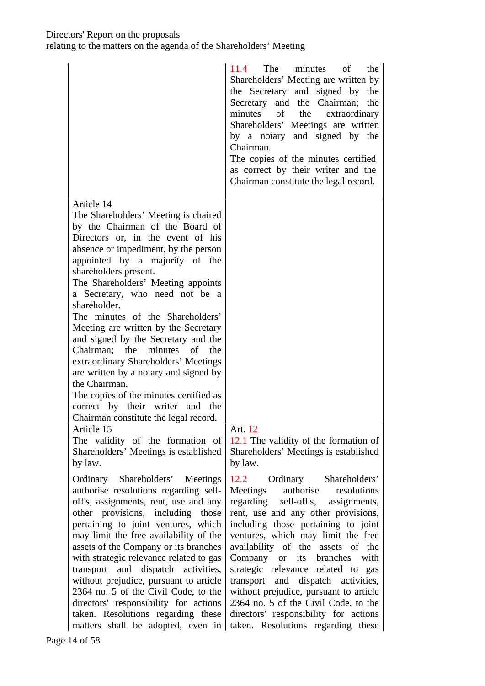|                                                                                                                                                                                                                                                                                                                                                                                                                                                                                                                                                                                                                                                                                                        | 11.4 The minutes<br>$\sigma$<br>the<br>Shareholders' Meeting are written by<br>the Secretary and signed by<br>the<br>Secretary and the Chairman;<br>the<br>minutes of the extraordinary<br>Shareholders' Meetings are written<br>by a notary and signed by the<br>Chairman.<br>The copies of the minutes certified<br>as correct by their writer and the<br>Chairman constitute the legal record.                                                                                                                                               |
|--------------------------------------------------------------------------------------------------------------------------------------------------------------------------------------------------------------------------------------------------------------------------------------------------------------------------------------------------------------------------------------------------------------------------------------------------------------------------------------------------------------------------------------------------------------------------------------------------------------------------------------------------------------------------------------------------------|-------------------------------------------------------------------------------------------------------------------------------------------------------------------------------------------------------------------------------------------------------------------------------------------------------------------------------------------------------------------------------------------------------------------------------------------------------------------------------------------------------------------------------------------------|
| Article 14<br>The Shareholders' Meeting is chaired<br>by the Chairman of the Board of<br>Directors or, in the event of his<br>absence or impediment, by the person<br>appointed by a majority of the<br>shareholders present.<br>The Shareholders' Meeting appoints<br>a Secretary, who need not be a<br>shareholder.<br>The minutes of the Shareholders'<br>Meeting are written by the Secretary<br>and signed by the Secretary and the<br>Chairman; the minutes<br>of<br>the<br>extraordinary Shareholders' Meetings<br>are written by a notary and signed by<br>the Chairman.<br>The copies of the minutes certified as<br>correct by their writer and the<br>Chairman constitute the legal record. |                                                                                                                                                                                                                                                                                                                                                                                                                                                                                                                                                 |
| Article 15<br>The validity of the formation of<br>Shareholders' Meetings is established<br>by law.                                                                                                                                                                                                                                                                                                                                                                                                                                                                                                                                                                                                     | Art. 12<br>12.1 The validity of the formation of<br>Shareholders' Meetings is established<br>by law.                                                                                                                                                                                                                                                                                                                                                                                                                                            |
| Ordinary Shareholders' Meetings<br>authorise resolutions regarding sell-<br>off's, assignments, rent, use and any<br>other provisions, including those<br>pertaining to joint ventures, which<br>may limit the free availability of the<br>assets of the Company or its branches<br>with strategic relevance related to gas<br>transport and dispatch activities,<br>without prejudice, pursuant to article<br>2364 no. 5 of the Civil Code, to the<br>directors' responsibility for actions<br>taken. Resolutions regarding these<br>matters shall be adopted, even in                                                                                                                                | 12.2 Ordinary Shareholders'<br>Meetings authorise<br>resolutions<br>regarding sell-off's, assignments,<br>rent, use and any other provisions,<br>including those pertaining to joint<br>ventures, which may limit the free<br>availability of the assets of the<br>Company or its branches<br>with<br>strategic relevance related to gas<br>transport and dispatch activities,<br>without prejudice, pursuant to article<br>2364 no. 5 of the Civil Code, to the<br>directors' responsibility for actions<br>taken. Resolutions regarding these |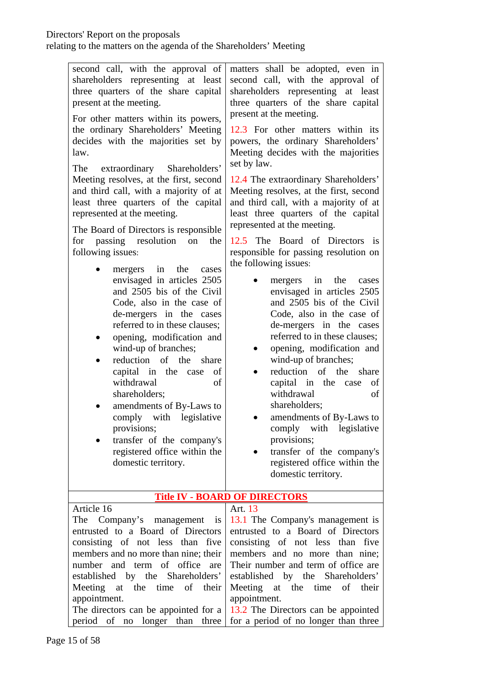| second call, with the approval of<br>shareholders representing at least<br>three quarters of the share capital<br>present at the meeting.<br>For other matters within its powers,<br>the ordinary Shareholders' Meeting<br>decides with the majorities set by<br>law.<br>extraordinary Shareholders'<br>The<br>Meeting resolves, at the first, second<br>and third call, with a majority of at<br>least three quarters of the capital<br>represented at the meeting.<br>The Board of Directors is responsible<br>for passing resolution<br>the<br>on<br>following issues:<br>mergers in the<br>cases<br>envisaged in articles 2505<br>and 2505 bis of the Civil<br>Code, also in the case of<br>de-mergers in the cases<br>referred to in these clauses;<br>opening, modification and | matters shall be adopted, even in<br>second call, with the approval of<br>shareholders representing at least<br>three quarters of the share capital<br>present at the meeting.<br>12.3 For other matters within its<br>powers, the ordinary Shareholders'<br>Meeting decides with the majorities<br>set by law.<br>12.4 The extraordinary Shareholders'<br>Meeting resolves, at the first, second<br>and third call, with a majority of at<br>least three quarters of the capital<br>represented at the meeting.<br>12.5 The Board of Directors is<br>responsible for passing resolution on<br>the following issues:<br>mergers in the<br>cases<br>$\bullet$<br>envisaged in articles 2505<br>and 2505 bis of the Civil<br>Code, also in the case of<br>de-mergers in the cases<br>referred to in these clauses; |
|---------------------------------------------------------------------------------------------------------------------------------------------------------------------------------------------------------------------------------------------------------------------------------------------------------------------------------------------------------------------------------------------------------------------------------------------------------------------------------------------------------------------------------------------------------------------------------------------------------------------------------------------------------------------------------------------------------------------------------------------------------------------------------------|------------------------------------------------------------------------------------------------------------------------------------------------------------------------------------------------------------------------------------------------------------------------------------------------------------------------------------------------------------------------------------------------------------------------------------------------------------------------------------------------------------------------------------------------------------------------------------------------------------------------------------------------------------------------------------------------------------------------------------------------------------------------------------------------------------------|
| wind-up of branches;<br>reduction of the share<br>$\bullet$                                                                                                                                                                                                                                                                                                                                                                                                                                                                                                                                                                                                                                                                                                                           | opening, modification and<br>$\bullet$<br>wind-up of branches;                                                                                                                                                                                                                                                                                                                                                                                                                                                                                                                                                                                                                                                                                                                                                   |
| capital in the case<br>of<br>withdrawal<br>of<br>shareholders;                                                                                                                                                                                                                                                                                                                                                                                                                                                                                                                                                                                                                                                                                                                        | reduction of the<br>share<br>capital in the case<br>of<br>withdrawal<br>of                                                                                                                                                                                                                                                                                                                                                                                                                                                                                                                                                                                                                                                                                                                                       |
| amendments of By-Laws to<br>comply with legislative                                                                                                                                                                                                                                                                                                                                                                                                                                                                                                                                                                                                                                                                                                                                   | shareholders;<br>amendments of By-Laws to                                                                                                                                                                                                                                                                                                                                                                                                                                                                                                                                                                                                                                                                                                                                                                        |
| provisions;<br>transfer of the company's                                                                                                                                                                                                                                                                                                                                                                                                                                                                                                                                                                                                                                                                                                                                              | comply with legislative<br>provisions;                                                                                                                                                                                                                                                                                                                                                                                                                                                                                                                                                                                                                                                                                                                                                                           |
| registered office within the                                                                                                                                                                                                                                                                                                                                                                                                                                                                                                                                                                                                                                                                                                                                                          | transfer of the company's                                                                                                                                                                                                                                                                                                                                                                                                                                                                                                                                                                                                                                                                                                                                                                                        |
| domestic territory.                                                                                                                                                                                                                                                                                                                                                                                                                                                                                                                                                                                                                                                                                                                                                                   | registered office within the<br>domestic territory.                                                                                                                                                                                                                                                                                                                                                                                                                                                                                                                                                                                                                                                                                                                                                              |
|                                                                                                                                                                                                                                                                                                                                                                                                                                                                                                                                                                                                                                                                                                                                                                                       | <b>Title IV - BOARD OF DIRECTORS</b>                                                                                                                                                                                                                                                                                                                                                                                                                                                                                                                                                                                                                                                                                                                                                                             |
| Article 16<br>The Company's management is                                                                                                                                                                                                                                                                                                                                                                                                                                                                                                                                                                                                                                                                                                                                             | Art. 13<br>13.1 The Company's management is                                                                                                                                                                                                                                                                                                                                                                                                                                                                                                                                                                                                                                                                                                                                                                      |
| entrusted to a Board of Directors                                                                                                                                                                                                                                                                                                                                                                                                                                                                                                                                                                                                                                                                                                                                                     | entrusted to a Board of Directors                                                                                                                                                                                                                                                                                                                                                                                                                                                                                                                                                                                                                                                                                                                                                                                |
| consisting of not less than five                                                                                                                                                                                                                                                                                                                                                                                                                                                                                                                                                                                                                                                                                                                                                      | consisting of not less than five                                                                                                                                                                                                                                                                                                                                                                                                                                                                                                                                                                                                                                                                                                                                                                                 |
| members and no more than nine; their                                                                                                                                                                                                                                                                                                                                                                                                                                                                                                                                                                                                                                                                                                                                                  | members and no more than nine;                                                                                                                                                                                                                                                                                                                                                                                                                                                                                                                                                                                                                                                                                                                                                                                   |
| number and term of office are                                                                                                                                                                                                                                                                                                                                                                                                                                                                                                                                                                                                                                                                                                                                                         | Their number and term of office are                                                                                                                                                                                                                                                                                                                                                                                                                                                                                                                                                                                                                                                                                                                                                                              |
| established by the Shareholders'<br>Meeting at the time<br>of<br>their                                                                                                                                                                                                                                                                                                                                                                                                                                                                                                                                                                                                                                                                                                                | established by the Shareholders'<br>Meeting at the time<br>of<br>their                                                                                                                                                                                                                                                                                                                                                                                                                                                                                                                                                                                                                                                                                                                                           |
| appointment.                                                                                                                                                                                                                                                                                                                                                                                                                                                                                                                                                                                                                                                                                                                                                                          | appointment.                                                                                                                                                                                                                                                                                                                                                                                                                                                                                                                                                                                                                                                                                                                                                                                                     |
| The directors can be appointed for a                                                                                                                                                                                                                                                                                                                                                                                                                                                                                                                                                                                                                                                                                                                                                  | 13.2 The Directors can be appointed                                                                                                                                                                                                                                                                                                                                                                                                                                                                                                                                                                                                                                                                                                                                                                              |
| period of no longer than three                                                                                                                                                                                                                                                                                                                                                                                                                                                                                                                                                                                                                                                                                                                                                        | for a period of no longer than three                                                                                                                                                                                                                                                                                                                                                                                                                                                                                                                                                                                                                                                                                                                                                                             |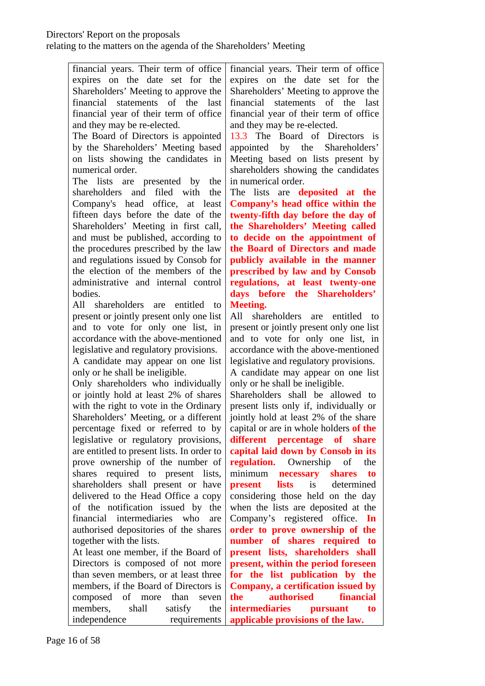financial years. Their term of office expires on the date set for the Shareholders' Meeting to approve the financial statements of the last financial year of their term of office and they may be re-elected.

The Board of Directors is appointed by the Shareholders' Meeting based on lists showing the candidates in numerical order.

The lists are presented by the shareholders and filed with the Company's head office, at least fifteen days before the date of the Shareholders' Meeting in first call, and must be published, according to the procedures prescribed by the law and regulations issued by Consob for the election of the members of the administrative and internal control bodies.

All shareholders are entitled to present or jointly present only one list and to vote for only one list, in accordance with the above-mentioned legislative and regulatory provisions.

A candidate may appear on one list only or he shall be ineligible.

Only shareholders who individually or jointly hold at least 2% of shares with the right to vote in the Ordinary Shareholders' Meeting, or a different percentage fixed or referred to by legislative or regulatory provisions, are entitled to present lists. In order to prove ownership of the number of shares required to present lists, shareholders shall present or have delivered to the Head Office a copy of the notification issued by the financial intermediaries who are authorised depositories of the shares together with the lists.

At least one member, if the Board of Directors is composed of not more than seven members, or at least three members, if the Board of Directors is composed of more than seven members, shall satisfy the independence requirements

financial years. Their term of office expires on the date set for the Shareholders' Meeting to approve the financial statements of the last financial year of their term of office and they may be re-elected.

13.3 The Board of Directors is appointed by the Shareholders' Meeting based on lists present by shareholders showing the candidates in numerical order.

The lists are **deposited at the Company's head office within the twenty-fifth day before the day of the Shareholders' Meeting called to decide on the appointment of the Board of Directors and made publicly available in the manner prescribed by law and by Consob regulations, at least twenty-one days before the Shareholders' Meeting.**

All shareholders are entitled to present or jointly present only one list and to vote for only one list, in accordance with the above-mentioned legislative and regulatory provisions. A candidate may appear on one list

only or he shall be ineligible. Shareholders shall be allowed to present lists only if, individually or jointly hold at least 2% of the share capital or are in whole holders **of the different percentage of share capital laid down by Consob in its regulation.** Ownership of the minimum **necessary shares to present** lists is determined considering those held on the day when the lists are deposited at the Company's registered office. **In order to prove ownership of the number of shares required to present lists, shareholders shall present, within the period foreseen for the list publication by the Company, a certification issued by the authorised financial intermediaries pursuant to applicable provisions of the law.**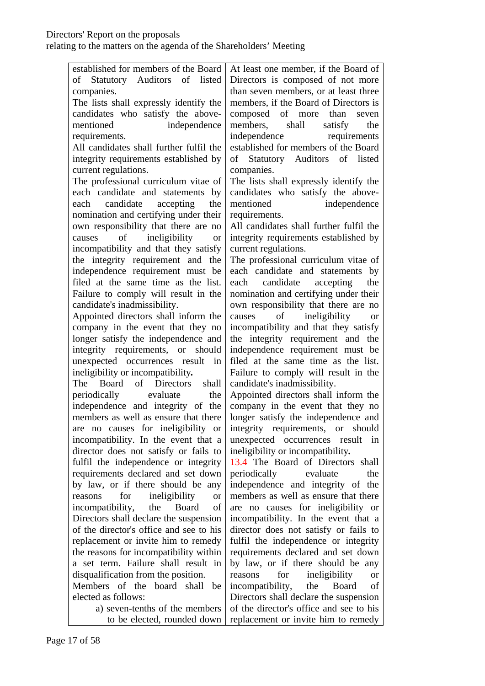| established for members of the Board                                              | At least one member, if the Board of                                      |
|-----------------------------------------------------------------------------------|---------------------------------------------------------------------------|
| of Statutory Auditors of listed                                                   | Directors is composed of not more                                         |
| companies.                                                                        | than seven members, or at least three                                     |
| The lists shall expressly identify the                                            | members, if the Board of Directors is                                     |
| candidates who satisfy the above-                                                 | composed of more than<br>seven                                            |
| mentioned<br>independence                                                         | members,<br>shall<br>the<br>satisfy                                       |
| requirements.                                                                     | independence<br>requirements                                              |
| All candidates shall further fulfil the                                           | established for members of the Board                                      |
| integrity requirements established by                                             | of Statutory Auditors of listed                                           |
| current regulations.                                                              | companies.                                                                |
| The professional curriculum vitae of                                              | The lists shall expressly identify the                                    |
| each candidate and statements by                                                  | candidates who satisfy the above-                                         |
| candidate<br>accepting<br>the<br>each                                             | mentioned<br>independence                                                 |
| nomination and certifying under their                                             | requirements.                                                             |
| own responsibility that there are no                                              | All candidates shall further fulfil the                                   |
| causes of ineligibility<br><b>or</b>                                              | integrity requirements established by                                     |
| incompatibility and that they satisfy                                             | current regulations.                                                      |
| the integrity requirement and the                                                 | The professional curriculum vitae of                                      |
| independence requirement must be                                                  | each candidate and statements by                                          |
| filed at the same time as the list.                                               | each candidate accepting<br>the                                           |
| Failure to comply will result in the                                              | nomination and certifying under their                                     |
| candidate's inadmissibility.                                                      | own responsibility that there are no                                      |
| Appointed directors shall inform the                                              | of ineligibility<br>causes<br><b>or</b>                                   |
| company in the event that they no                                                 | incompatibility and that they satisfy                                     |
| longer satisfy the independence and                                               | the integrity requirement and the                                         |
| integrity requirements, or<br>should                                              | independence requirement must be                                          |
| unexpected occurrences result<br>in                                               | filed at the same time as the list.                                       |
| ineligibility or incompatibility.                                                 | Failure to comply will result in the                                      |
| of Directors<br>The Board<br>shall                                                | candidate's inadmissibility.                                              |
| periodically evaluate<br>the                                                      | Appointed directors shall inform the                                      |
| independence and integrity of the                                                 | company in the event that they no                                         |
| members as well as ensure that there                                              | longer satisfy the independence and                                       |
| are no causes for ineligibility or                                                | integrity requirements, or should                                         |
| incompatibility. In the event that a                                              | unexpected occurrences result<br>in                                       |
| director does not satisfy or fails to                                             | ineligibility or incompatibility.<br>13.4 The Board of Directors shall    |
| fulfil the independence or integrity                                              |                                                                           |
| requirements declared and set down                                                | the<br>periodically<br>evaluate                                           |
| by law, or if there should be any<br>for<br>ineligibility<br>reasons<br><b>or</b> | independence and integrity of the<br>members as well as ensure that there |
| incompatibility,<br>of<br>the<br>Board                                            | are no causes for ineligibility or                                        |
| Directors shall declare the suspension                                            | incompatibility. In the event that a                                      |
| of the director's office and see to his                                           | director does not satisfy or fails to                                     |
| replacement or invite him to remedy                                               | fulfil the independence or integrity                                      |
| the reasons for incompatibility within                                            | requirements declared and set down                                        |
| a set term. Failure shall result in                                               | by law, or if there should be any                                         |
| disqualification from the position.                                               | for<br>ineligibility<br>reasons<br><b>or</b>                              |
| <b>Members</b><br>board<br>shall<br>of the<br>be                                  | Board<br>incompatibility,<br>the<br>οf                                    |
| elected as follows:                                                               | Directors shall declare the suspension                                    |
| a) seven-tenths of the members                                                    | of the director's office and see to his                                   |
| to be elected, rounded down                                                       | replacement or invite him to remedy                                       |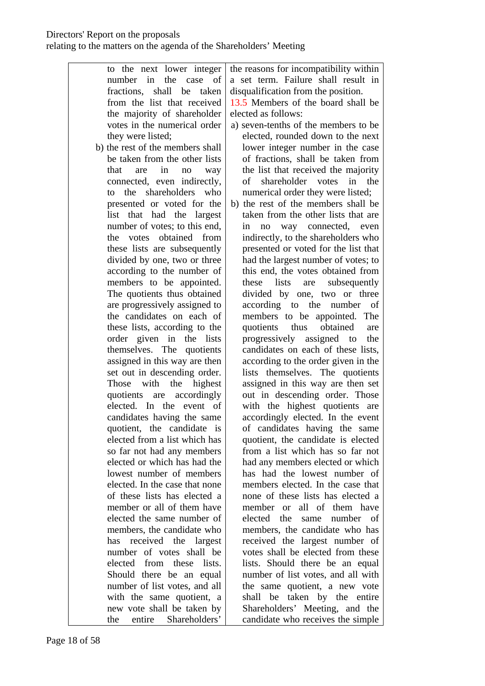to the next lower integer number in the case of fractions, shall be taken from the list that received the majority of shareholder votes in the numerical order they were listed; b) the rest of the members shall be taken from the other lists that are in no way connected, even indirectly, to the shareholders who presented or voted for the list that had the largest number of votes; to this end, the votes obtained from these lists are subsequently divided by one, two or three according to the number of members to be appointed. The quotients thus obtained are progressively assigned to the candidates on each of these lists, according to the order given in the lists themselves. The quotients assigned in this way are then set out in descending order. Those with the highest quotients are accordingly elected. In the event of candidates having the same quotient, the candidate is elected from a list which has so far not had any members elected or which has had the lowest number of members elected. In the case that none of these lists has elected a member or all of them have elected the same number of members, the candidate who has received the largest number of votes shall be elected from these lists. Should there be an equal number of list votes, and all with the same quotient, a new vote shall be taken by the entire Shareholders' the reasons for incompatibility within a set term. Failure shall result in disqualification from the position. 13.5 Members of the board shall be elected as follows: a) seven-tenths of the members to be elected, rounded down to the next lower integer number in the case of fractions, shall be taken from the list that received the majority of shareholder votes in the numerical order they were listed; b) the rest of the members shall be taken from the other lists that are in no way connected, even indirectly, to the shareholders who presented or voted for the list that had the largest number of votes; to this end, the votes obtained from these lists are subsequently divided by one, two or three according to the number of members to be appointed. The quotients thus obtained are progressively assigned to the candidates on each of these lists, according to the order given in the lists themselves. The quotients assigned in this way are then set out in descending order. Those with the highest quotients are accordingly elected. In the event of candidates having the same quotient, the candidate is elected from a list which has so far not had any members elected or which has had the lowest number of members elected. In the case that none of these lists has elected a member or all of them have elected the same number of members, the candidate who has received the largest number of votes shall be elected from these lists. Should there be an equal number of list votes, and all with the same quotient, a new vote shall be taken by the entire Shareholders' Meeting, and the candidate who receives the simple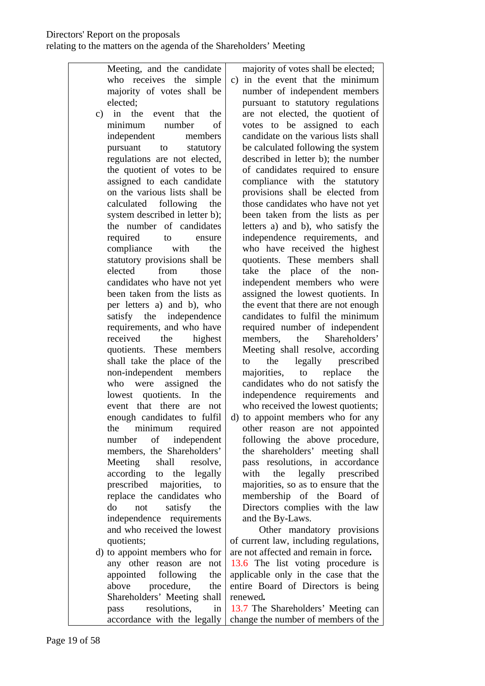Meeting, and the candidate who receives the simple majority of votes shall be elected; c) in the event that the minimum number of independent members pursuant to statutory regulations are not elected, the quotient of votes to be assigned to each candidate on the various lists shall be calculated following the system described in letter b); the number of candidates required to ensure compliance with the statutory provisions shall be elected from those candidates who have not yet been taken from the lists as per letters a) and b), who satisfy the independence requirements, and who have received the highest quotients. These members shall take the place of the non-independent members who were assigned the lowest quotients. In the event that there are not enough candidates to fulfil the minimum required number of independent members, the Shareholders' Meeting shall resolve, according to the legally prescribed majorities, to replace the candidates who do not satisfy the independence requirements and who received the lowest quotients; d) to appoint members who for any other reason are not appointed following the above procedure, the Shareholders' Meeting shall pass resolutions, in accordance with the legally majority of votes shall be elected; c) in the event that the minimum number of independent members pursuant to statutory regulations are not elected, the quotient of votes to be assigned to each candidate on the various lists shall be calculated following the system described in letter b); the number of candidates required to ensure compliance with the statutory provisions shall be elected from those candidates who have not yet been taken from the lists as per letters a) and b), who satisfy the independence requirements, and who have received the highest quotients. These members shall take the place of the nonindependent members who were assigned the lowest quotients. In the event that there are not enough candidates to fulfil the minimum required number of independent members, the Shareholders' Meeting shall resolve, according to the legally prescribed majorities, to replace the candidates who do not satisfy the independence requirements and who received the lowest quotients; d) to appoint members who for any other reason are not appointed following the above procedure, the shareholders' meeting shall pass resolutions, in accordance with the legally prescribed majorities, so as to ensure that the membership of the Board of Directors complies with the law and the By-Laws. Other mandatory provisions of current law, including regulations, are not affected and remain in force*.*  13.6 The list voting procedure is applicable only in the case that the entire Board of Directors is being renewed*.*  13.7 The Shareholders' Meeting can change the number of members of the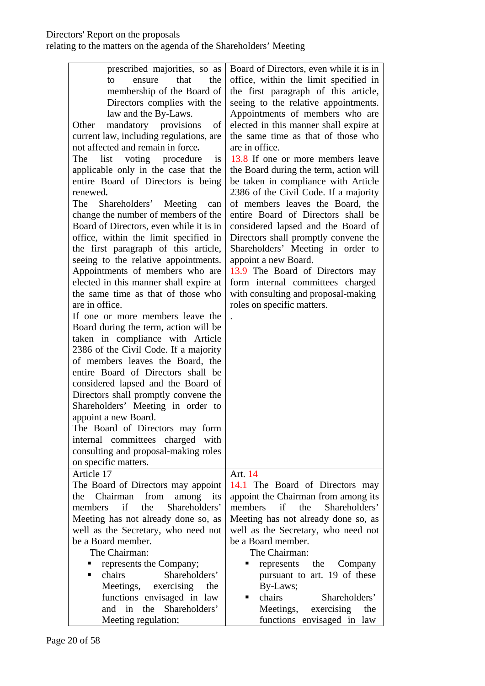| prescribed majorities, so as<br>that<br>the<br>to<br>ensure<br>membership of the Board of<br>Directors complies with the<br>law and the By-Laws.<br>mandatory provisions<br>Other<br>of<br>current law, including regulations, are<br>not affected and remain in force.<br>list<br>voting procedure<br>The<br><i>is</i><br>applicable only in the case that the<br>entire Board of Directors is being<br>renewed.<br>Shareholders' Meeting<br>The<br>can<br>change the number of members of the<br>Board of Directors, even while it is in<br>office, within the limit specified in<br>the first paragraph of this article,<br>seeing to the relative appointments.<br>Appointments of members who are<br>elected in this manner shall expire at<br>the same time as that of those who<br>are in office.<br>If one or more members leave the<br>Board during the term, action will be<br>taken in compliance with Article<br>2386 of the Civil Code. If a majority<br>of members leaves the Board, the<br>entire Board of Directors shall be<br>considered lapsed and the Board of<br>Directors shall promptly convene the | Board of Directors, even while it is in<br>office, within the limit specified in<br>the first paragraph of this article,<br>seeing to the relative appointments.<br>Appointments of members who are<br>elected in this manner shall expire at<br>the same time as that of those who<br>are in office.<br>13.8 If one or more members leave<br>the Board during the term, action will<br>be taken in compliance with Article<br>2386 of the Civil Code. If a majority<br>of members leaves the Board, the<br>entire Board of Directors shall be<br>considered lapsed and the Board of<br>Directors shall promptly convene the<br>Shareholders' Meeting in order to<br>appoint a new Board.<br>13.9 The Board of Directors may<br>form internal committees charged<br>with consulting and proposal-making<br>roles on specific matters. |
|----------------------------------------------------------------------------------------------------------------------------------------------------------------------------------------------------------------------------------------------------------------------------------------------------------------------------------------------------------------------------------------------------------------------------------------------------------------------------------------------------------------------------------------------------------------------------------------------------------------------------------------------------------------------------------------------------------------------------------------------------------------------------------------------------------------------------------------------------------------------------------------------------------------------------------------------------------------------------------------------------------------------------------------------------------------------------------------------------------------------------|---------------------------------------------------------------------------------------------------------------------------------------------------------------------------------------------------------------------------------------------------------------------------------------------------------------------------------------------------------------------------------------------------------------------------------------------------------------------------------------------------------------------------------------------------------------------------------------------------------------------------------------------------------------------------------------------------------------------------------------------------------------------------------------------------------------------------------------|
| Shareholders' Meeting in order to<br>appoint a new Board.<br>The Board of Directors may form<br>internal committees charged with                                                                                                                                                                                                                                                                                                                                                                                                                                                                                                                                                                                                                                                                                                                                                                                                                                                                                                                                                                                           |                                                                                                                                                                                                                                                                                                                                                                                                                                                                                                                                                                                                                                                                                                                                                                                                                                       |
| consulting and proposal-making roles                                                                                                                                                                                                                                                                                                                                                                                                                                                                                                                                                                                                                                                                                                                                                                                                                                                                                                                                                                                                                                                                                       |                                                                                                                                                                                                                                                                                                                                                                                                                                                                                                                                                                                                                                                                                                                                                                                                                                       |
| on specific matters.<br>Article 17                                                                                                                                                                                                                                                                                                                                                                                                                                                                                                                                                                                                                                                                                                                                                                                                                                                                                                                                                                                                                                                                                         | Art. 14                                                                                                                                                                                                                                                                                                                                                                                                                                                                                                                                                                                                                                                                                                                                                                                                                               |
| The Board of Directors may appoint                                                                                                                                                                                                                                                                                                                                                                                                                                                                                                                                                                                                                                                                                                                                                                                                                                                                                                                                                                                                                                                                                         | 14.1 The Board of Directors may                                                                                                                                                                                                                                                                                                                                                                                                                                                                                                                                                                                                                                                                                                                                                                                                       |
| Chairman<br>from<br>among<br>the<br>its                                                                                                                                                                                                                                                                                                                                                                                                                                                                                                                                                                                                                                                                                                                                                                                                                                                                                                                                                                                                                                                                                    | appoint the Chairman from among its                                                                                                                                                                                                                                                                                                                                                                                                                                                                                                                                                                                                                                                                                                                                                                                                   |
| if<br>Shareholders'<br>members<br>the<br>Meeting has not already done so, as                                                                                                                                                                                                                                                                                                                                                                                                                                                                                                                                                                                                                                                                                                                                                                                                                                                                                                                                                                                                                                               | members<br>if<br>the<br>Shareholders'<br>Meeting has not already done so, as                                                                                                                                                                                                                                                                                                                                                                                                                                                                                                                                                                                                                                                                                                                                                          |
| well as the Secretary, who need not                                                                                                                                                                                                                                                                                                                                                                                                                                                                                                                                                                                                                                                                                                                                                                                                                                                                                                                                                                                                                                                                                        | well as the Secretary, who need not                                                                                                                                                                                                                                                                                                                                                                                                                                                                                                                                                                                                                                                                                                                                                                                                   |
| be a Board member.                                                                                                                                                                                                                                                                                                                                                                                                                                                                                                                                                                                                                                                                                                                                                                                                                                                                                                                                                                                                                                                                                                         | be a Board member.                                                                                                                                                                                                                                                                                                                                                                                                                                                                                                                                                                                                                                                                                                                                                                                                                    |
| The Chairman:                                                                                                                                                                                                                                                                                                                                                                                                                                                                                                                                                                                                                                                                                                                                                                                                                                                                                                                                                                                                                                                                                                              | The Chairman:                                                                                                                                                                                                                                                                                                                                                                                                                                                                                                                                                                                                                                                                                                                                                                                                                         |
| represents the Company;<br>Ξ                                                                                                                                                                                                                                                                                                                                                                                                                                                                                                                                                                                                                                                                                                                                                                                                                                                                                                                                                                                                                                                                                               | represents the Company                                                                                                                                                                                                                                                                                                                                                                                                                                                                                                                                                                                                                                                                                                                                                                                                                |
| chairs<br>Shareholders'                                                                                                                                                                                                                                                                                                                                                                                                                                                                                                                                                                                                                                                                                                                                                                                                                                                                                                                                                                                                                                                                                                    | pursuant to art. 19 of these                                                                                                                                                                                                                                                                                                                                                                                                                                                                                                                                                                                                                                                                                                                                                                                                          |
| Meetings,<br>exercising<br>the                                                                                                                                                                                                                                                                                                                                                                                                                                                                                                                                                                                                                                                                                                                                                                                                                                                                                                                                                                                                                                                                                             | By-Laws;                                                                                                                                                                                                                                                                                                                                                                                                                                                                                                                                                                                                                                                                                                                                                                                                                              |
| functions envisaged in law                                                                                                                                                                                                                                                                                                                                                                                                                                                                                                                                                                                                                                                                                                                                                                                                                                                                                                                                                                                                                                                                                                 | chairs<br>Shareholders'<br>٠                                                                                                                                                                                                                                                                                                                                                                                                                                                                                                                                                                                                                                                                                                                                                                                                          |
| and in<br>the Shareholders'                                                                                                                                                                                                                                                                                                                                                                                                                                                                                                                                                                                                                                                                                                                                                                                                                                                                                                                                                                                                                                                                                                | Meetings,<br>exercising<br>the                                                                                                                                                                                                                                                                                                                                                                                                                                                                                                                                                                                                                                                                                                                                                                                                        |
| Meeting regulation;                                                                                                                                                                                                                                                                                                                                                                                                                                                                                                                                                                                                                                                                                                                                                                                                                                                                                                                                                                                                                                                                                                        | functions envisaged in law                                                                                                                                                                                                                                                                                                                                                                                                                                                                                                                                                                                                                                                                                                                                                                                                            |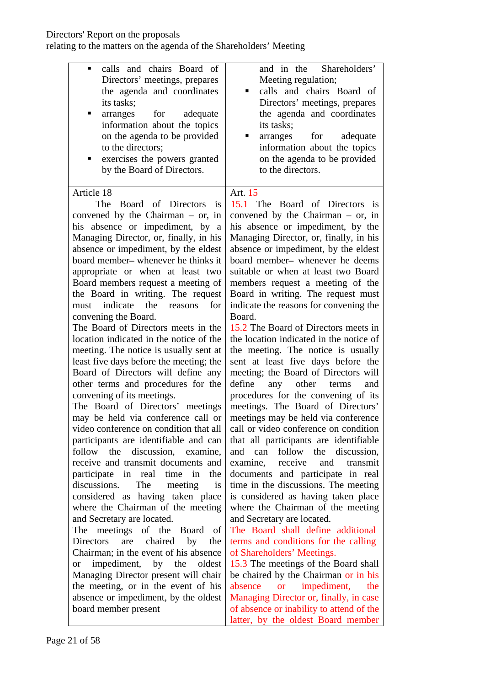### Directors' Report on the proposals

| calls and chairs Board of<br>$\blacksquare$<br>Directors' meetings, prepares<br>the agenda and coordinates<br>its tasks;<br>for<br>adequate<br>п<br>arranges<br>information about the topics<br>on the agenda to be provided<br>to the directors;<br>exercises the powers granted<br>by the Board of Directors.                                                                                                                                                                                                                                                                                                                                                                                                                                                                                                                                                                                                                                                                                                                                                                                                                                                                                                                                                                                                                                                                                                                                                                            | and in the Shareholders'<br>Meeting regulation;<br>calls and chairs Board of<br>Directors' meetings, prepares<br>the agenda and coordinates<br>its tasks;<br>adequate<br>arranges<br>for<br>information about the topics<br>on the agenda to be provided<br>to the directors.                                                                                                                                                                                                                                                                                                                                                                                                                                                                                                                                                                                                                                                                                                                                                                                                                                                                                                                                                                                                                                                                                                                                                                                                                                     |
|--------------------------------------------------------------------------------------------------------------------------------------------------------------------------------------------------------------------------------------------------------------------------------------------------------------------------------------------------------------------------------------------------------------------------------------------------------------------------------------------------------------------------------------------------------------------------------------------------------------------------------------------------------------------------------------------------------------------------------------------------------------------------------------------------------------------------------------------------------------------------------------------------------------------------------------------------------------------------------------------------------------------------------------------------------------------------------------------------------------------------------------------------------------------------------------------------------------------------------------------------------------------------------------------------------------------------------------------------------------------------------------------------------------------------------------------------------------------------------------------|-------------------------------------------------------------------------------------------------------------------------------------------------------------------------------------------------------------------------------------------------------------------------------------------------------------------------------------------------------------------------------------------------------------------------------------------------------------------------------------------------------------------------------------------------------------------------------------------------------------------------------------------------------------------------------------------------------------------------------------------------------------------------------------------------------------------------------------------------------------------------------------------------------------------------------------------------------------------------------------------------------------------------------------------------------------------------------------------------------------------------------------------------------------------------------------------------------------------------------------------------------------------------------------------------------------------------------------------------------------------------------------------------------------------------------------------------------------------------------------------------------------------|
| Article 18<br>The<br>Board of Directors is<br>convened by the Chairman $-$ or, in<br>his absence or impediment, by a<br>Managing Director, or, finally, in his<br>absence or impediment, by the eldest<br>board member– whenever he thinks it<br>appropriate or when at least two<br>Board members request a meeting of<br>the Board in writing. The request<br>indicate<br>for<br>the<br>reasons<br>must<br>convening the Board.<br>The Board of Directors meets in the<br>location indicated in the notice of the<br>meeting. The notice is usually sent at<br>least five days before the meeting; the<br>Board of Directors will define any<br>other terms and procedures for the<br>convening of its meetings.<br>The Board of Directors' meetings<br>may be held via conference call or<br>video conference on condition that all<br>participants are identifiable and can<br>follow the<br>discussion, examine,<br>receive and transmit documents and<br>participate in real time<br>in<br>the<br>discussions.<br>The<br>meeting<br><i>is</i><br>considered as having taken place<br>where the Chairman of the meeting<br>and Secretary are located.<br>The meetings<br>of the Board<br>- of<br>chaired<br><b>Directors</b><br>are<br>by<br>the<br>Chairman; in the event of his absence<br>impediment, by the<br>oldest<br><b>or</b><br>Managing Director present will chair<br>the meeting, or in the event of his<br>absence or impediment, by the oldest<br>board member present | Art. 15<br>15.1 The Board of Directors is<br>convened by the Chairman $-$ or, in<br>his absence or impediment, by the<br>Managing Director, or, finally, in his<br>absence or impediment, by the eldest<br>board member- whenever he deems<br>suitable or when at least two Board<br>members request a meeting of the<br>Board in writing. The request must<br>indicate the reasons for convening the<br>Board.<br>15.2 The Board of Directors meets in<br>the location indicated in the notice of<br>the meeting. The notice is usually<br>sent at least five days before the<br>meeting; the Board of Directors will<br>other<br>define<br>any<br>terms<br>and<br>procedures for the convening of its<br>meetings. The Board of Directors'<br>meetings may be held via conference<br>call or video conference on condition<br>that all participants are identifiable<br>follow the discussion,<br>and can<br>receive<br>transmit<br>examine,<br>and<br>documents and participate in real<br>time in the discussions. The meeting<br>is considered as having taken place<br>where the Chairman of the meeting<br>and Secretary are located.<br>The Board shall define additional<br>terms and conditions for the calling<br>of Shareholders' Meetings.<br>15.3 The meetings of the Board shall<br>be chaired by the Chairman or in his<br>impediment,<br>absence<br><b>or</b><br>the<br>Managing Director or, finally, in case<br>of absence or inability to attend of the<br>latter, by the oldest Board member |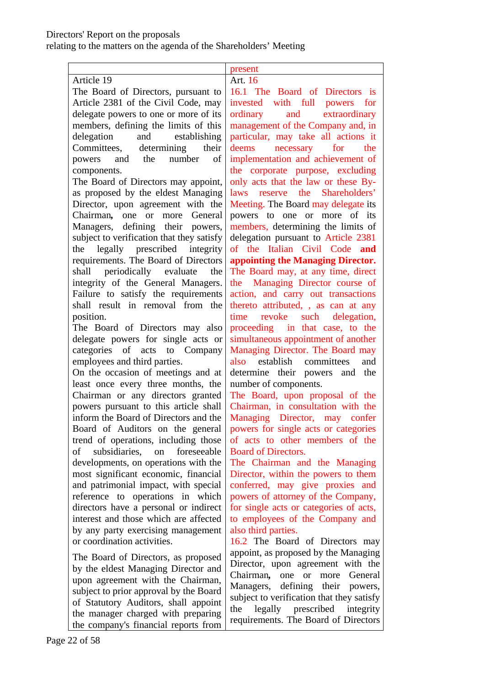|                                                                    | present                                                                 |
|--------------------------------------------------------------------|-------------------------------------------------------------------------|
| Article 19                                                         | Art. 16                                                                 |
| The Board of Directors, pursuant to                                | 16.1 The Board of Directors is                                          |
| Article 2381 of the Civil Code, may                                | with full powers for<br>invested                                        |
| delegate powers to one or more of its                              | ordinary and extraordinary                                              |
| members, defining the limits of this                               | management of the Company and, in                                       |
| delegation and establishing                                        | particular, may take all actions it                                     |
| Committees, determining<br>their                                   | deems necessary for the                                                 |
| and the number<br>of<br>powers                                     | implementation and achievement of                                       |
| components.                                                        | the corporate purpose, excluding                                        |
| The Board of Directors may appoint,                                | only acts that the law or these By-                                     |
| as proposed by the eldest Managing                                 | laws reserve the Shareholders'                                          |
| Director, upon agreement with the                                  | Meeting. The Board may delegate its                                     |
| Chairman, one or more General                                      | powers to one or more of its                                            |
| Managers, defining their powers,                                   | members, determining the limits of                                      |
| subject to verification that they satisfy                          | delegation pursuant to Article 2381                                     |
| the legally prescribed integrity                                   | of the Italian Civil Code and                                           |
| requirements. The Board of Directors                               | appointing the Managing Director.                                       |
| shall periodically evaluate<br>the                                 | The Board may, at any time, direct                                      |
| integrity of the General Managers.                                 | the Managing Director course of                                         |
| Failure to satisfy the requirements                                | action, and carry out transactions                                      |
| shall result in removal from the                                   | thereto attributed, , as can at any                                     |
| position.                                                          | revoke such delegation,<br>time                                         |
| The Board of Directors may also                                    | proceeding in that case, to the                                         |
| delegate powers for single acts or                                 | simultaneous appointment of another                                     |
| categories of acts to Company                                      | Managing Director. The Board may<br>establish committees<br>and<br>also |
| employees and third parties.<br>On the occasion of meetings and at | determine their powers and the                                          |
| least once every three months, the                                 | number of components.                                                   |
| Chairman or any directors granted                                  | The Board, upon proposal of the                                         |
| powers pursuant to this article shall                              | Chairman, in consultation with the                                      |
| inform the Board of Directors and the                              | Managing Director, may confer                                           |
| Board of Auditors on the general                                   | powers for single acts or categories                                    |
| trend of operations, including those                               | of acts to other members of the                                         |
| foreseeable<br>subsidiaries, on<br>of                              | <b>Board of Directors.</b>                                              |
| developments, on operations with the                               | The Chairman and the Managing                                           |
| most significant economic, financial                               | Director, within the powers to them                                     |
| and patrimonial impact, with special                               | conferred, may give proxies and                                         |
| reference to operations in which                                   | powers of attorney of the Company,                                      |
| directors have a personal or indirect                              | for single acts or categories of acts,                                  |
| interest and those which are affected                              | to employees of the Company and                                         |
| by any party exercising management                                 | also third parties.                                                     |
| or coordination activities.                                        | 16.2 The Board of Directors may                                         |
| The Board of Directors, as proposed                                | appoint, as proposed by the Managing                                    |
| by the eldest Managing Director and                                | Director, upon agreement with the                                       |
| upon agreement with the Chairman,                                  | Chairman,<br><sub>or</sub><br>General<br>one<br>more                    |
| subject to prior approval by the Board                             | defining their powers,<br>Managers,                                     |
| of Statutory Auditors, shall appoint                               | subject to verification that they satisfy                               |
| the manager charged with preparing                                 | legally prescribed<br>the<br>integrity                                  |
| the compony's financial reports from                               | requirements. The Board of Directors                                    |

the company's financial reports from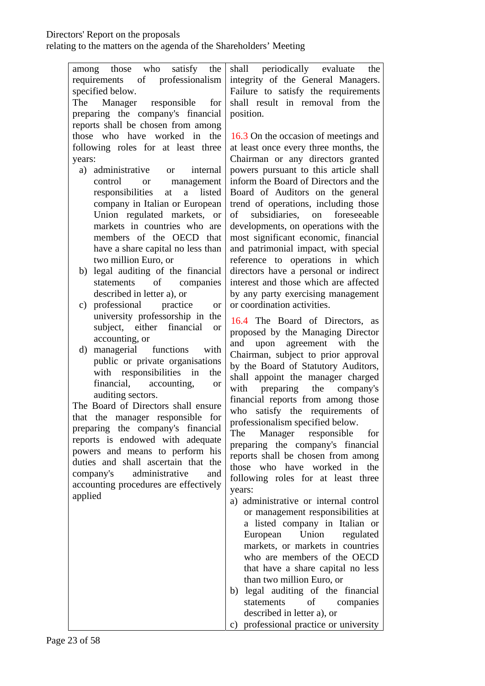| among those who<br>satisfy the                                      | shall periodically evaluate<br>the        |
|---------------------------------------------------------------------|-------------------------------------------|
| requirements of professionalism                                     | integrity of the General Managers.        |
| specified below.                                                    | Failure to satisfy the requirements       |
| Manager<br>responsible<br>The<br>for                                | shall result in removal from the          |
| preparing the company's financial                                   | position.                                 |
| reports shall be chosen from among                                  |                                           |
| those who have worked in the                                        | 16.3 On the occasion of meetings and      |
| following roles for at least three                                  | at least once every three months, the     |
| years:                                                              | Chairman or any directors granted         |
| a) administrative<br>internal<br><b>or</b>                          | powers pursuant to this article shall     |
| control<br>management<br><b>or</b>                                  | inform the Board of Directors and the     |
| responsibilities<br>a<br>listed<br>at                               | Board of Auditors on the general          |
| company in Italian or European                                      | trend of operations, including those      |
| Union regulated markets, or                                         | subsidiaries, on<br>foreseeable<br>of     |
| markets in countries who are                                        | developments, on operations with the      |
| members of the OECD that                                            | most significant economic, financial      |
| have a share capital no less than                                   | and patrimonial impact, with special      |
| two million Euro, or                                                | reference to operations in which          |
| b) legal auditing of the financial                                  | directors have a personal or indirect     |
| statements of<br>companies                                          | interest and those which are affected     |
| described in letter a), or                                          | by any party exercising management        |
| c) professional practice<br><b>or</b>                               | or coordination activities.               |
| university professorship in the                                     | 16.4 The Board of Directors, as           |
| subject, either financial<br><b>or</b>                              | proposed by the Managing Director         |
| accounting, or                                                      | upon agreement with the<br>and            |
| managerial functions<br>with<br>d)                                  | Chairman, subject to prior approval       |
| public or private organisations                                     | by the Board of Statutory Auditors,       |
| with responsibilities in<br>the                                     | shall appoint the manager charged         |
| financial, accounting,<br>or                                        | preparing the company's<br>with           |
| auditing sectors.                                                   | financial reports from among those        |
| The Board of Directors shall ensure                                 | satisfy the requirements of<br>who        |
| that the manager responsible for                                    | professionalism specified below.          |
| preparing the company's financial                                   | Manager responsible<br>The<br>for         |
| reports is endowed with adequate<br>powers and means to perform his | preparing the company's financial         |
| duties and shall ascertain that the                                 | reports shall be chosen from among        |
| company's<br>administrative<br>and                                  | those who have worked in the              |
| accounting procedures are effectively                               | following roles for at least three        |
| applied                                                             | years:                                    |
|                                                                     | a) administrative or internal control     |
|                                                                     | or management responsibilities at         |
|                                                                     | a listed company in Italian or            |
|                                                                     | European Union regulated                  |
|                                                                     | markets, or markets in countries          |
|                                                                     | who are members of the OECD               |
|                                                                     | that have a share capital no less         |
|                                                                     | than two million Euro, or                 |
|                                                                     | b) legal auditing of the financial        |
|                                                                     | of companies<br>statements                |
|                                                                     | described in letter a), or                |
|                                                                     | professional practice or university<br>C) |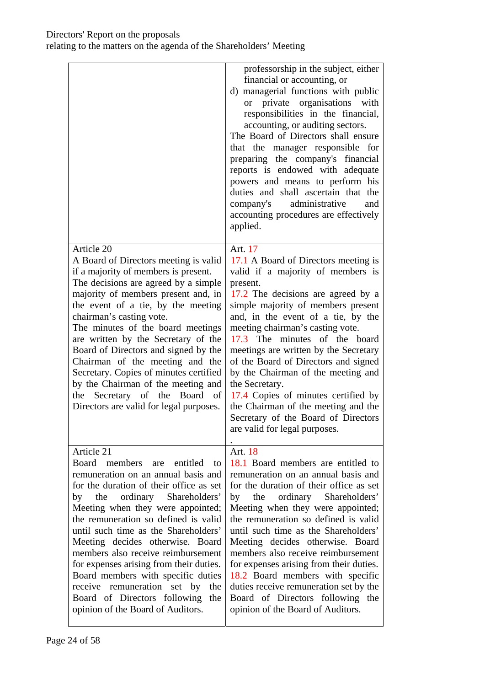|                                                                                                                                                                                                                                                                                                                                                                                                                                                                                                                                                                        | professorship in the subject, either<br>financial or accounting, or<br>d) managerial functions with public<br>or private organisations<br>with<br>responsibilities in the financial,<br>accounting, or auditing sectors.<br>The Board of Directors shall ensure<br>that the manager responsible for<br>preparing the company's financial<br>reports is endowed with adequate<br>powers and means to perform his<br>duties and shall ascertain that the<br>administrative<br>company's<br>and<br>accounting procedures are effectively<br>applied.                                      |
|------------------------------------------------------------------------------------------------------------------------------------------------------------------------------------------------------------------------------------------------------------------------------------------------------------------------------------------------------------------------------------------------------------------------------------------------------------------------------------------------------------------------------------------------------------------------|----------------------------------------------------------------------------------------------------------------------------------------------------------------------------------------------------------------------------------------------------------------------------------------------------------------------------------------------------------------------------------------------------------------------------------------------------------------------------------------------------------------------------------------------------------------------------------------|
| Article 20<br>A Board of Directors meeting is valid<br>if a majority of members is present.<br>The decisions are agreed by a simple<br>majority of members present and, in<br>the event of a tie, by the meeting<br>chairman's casting vote.<br>The minutes of the board meetings<br>are written by the Secretary of the<br>Board of Directors and signed by the<br>Chairman of the meeting and the<br>Secretary. Copies of minutes certified<br>by the Chairman of the meeting and<br>the Secretary of the Board<br>of<br>Directors are valid for legal purposes.     | Art. 17<br>17.1 A Board of Directors meeting is<br>valid if a majority of members is<br>present.<br>17.2 The decisions are agreed by a<br>simple majority of members present<br>and, in the event of a tie, by the<br>meeting chairman's casting vote.<br>17.3 The minutes of the board<br>meetings are written by the Secretary<br>of the Board of Directors and signed<br>by the Chairman of the meeting and<br>the Secretary.<br>17.4 Copies of minutes certified by<br>the Chairman of the meeting and the<br>Secretary of the Board of Directors<br>are valid for legal purposes. |
| Article 21<br>Board members are entitled to<br>remuneration on an annual basis and<br>for the duration of their office as set<br>ordinary Shareholders'<br>the<br>by<br>Meeting when they were appointed;<br>the remuneration so defined is valid<br>until such time as the Shareholders'<br>Meeting decides otherwise. Board<br>members also receive reimbursement<br>for expenses arising from their duties.<br>Board members with specific duties<br>receive remuneration set by<br>the<br>Board of Directors following<br>the<br>opinion of the Board of Auditors. | Art. 18<br>18.1 Board members are entitled to<br>remuneration on an annual basis and<br>for the duration of their office as set<br>ordinary Shareholders'<br>by<br>the<br>Meeting when they were appointed;<br>the remuneration so defined is valid<br>until such time as the Shareholders'<br>Meeting decides otherwise. Board<br>members also receive reimbursement<br>for expenses arising from their duties.<br>18.2 Board members with specific<br>duties receive remuneration set by the<br>Board of Directors following the<br>opinion of the Board of Auditors.                |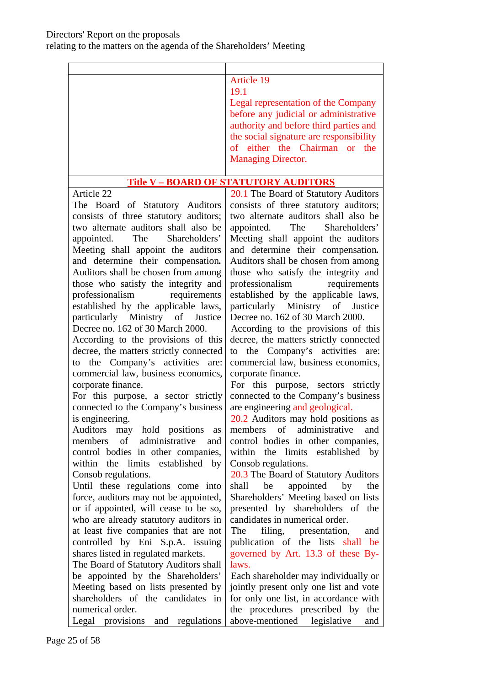| <b>Article 19</b>                       |  |  |
|-----------------------------------------|--|--|
| 19.1                                    |  |  |
| Legal representation of the Company     |  |  |
| before any judicial or administrative   |  |  |
| authority and before third parties and  |  |  |
| the social signature are responsibility |  |  |
| of either the Chairman or the           |  |  |
| <b>Managing Director.</b>               |  |  |
|                                         |  |  |

### **Title V – BOARD OF STATUTORY AUDITORS**

Article 22 The Board of Statutory Auditors consists of three statutory auditors; two alternate auditors shall also be appointed. The Shareholders' Meeting shall appoint the auditors and determine their compensation*.*  Auditors shall be chosen from among those who satisfy the integrity and professionalism requirements established by the applicable laws, particularly Ministry of Justice Decree no. 162 of 30 March 2000.

According to the provisions of this decree, the matters strictly connected to the Company's activities are: commercial law, business economics, corporate finance.

For this purpose, a sector strictly connected to the Company's business is engineering.

Auditors may hold positions as members of administrative and control bodies in other companies, within the limits established by Consob regulations.

Until these regulations come into force, auditors may not be appointed, or if appointed, will cease to be so, who are already statutory auditors in at least five companies that are not controlled by Eni S.p.A. issuing shares listed in regulated markets.

The Board of Statutory Auditors shall be appointed by the Shareholders' Meeting based on lists presented by shareholders of the candidates in numerical order. Legal provisions and regulations

20.1 The Board of Statutory Auditors consists of three statutory auditors; two alternate auditors shall also be appointed. The Shareholders' Meeting shall appoint the auditors and determine their compensation*.*  Auditors shall be chosen from among those who satisfy the integrity and professionalism requirements established by the applicable laws, particularly Ministry of Justice Decree no. 162 of 30 March 2000.

According to the provisions of this decree, the matters strictly connected to the Company's activities are: commercial law, business economics, corporate finance.

For this purpose, sectors strictly connected to the Company's business are engineering and geological.

20.2 Auditors may hold positions as members of administrative and control bodies in other companies, within the limits established by Consob regulations.

20.3 The Board of Statutory Auditors shall be appointed by the Shareholders' Meeting based on lists presented by shareholders of the candidates in numerical order.

The filing, presentation, and publication of the lists shall be governed by Art. 13.3 of these Bylaws.

Each shareholder may individually or jointly present only one list and vote for only one list, in accordance with the procedures prescribed by the above-mentioned legislative and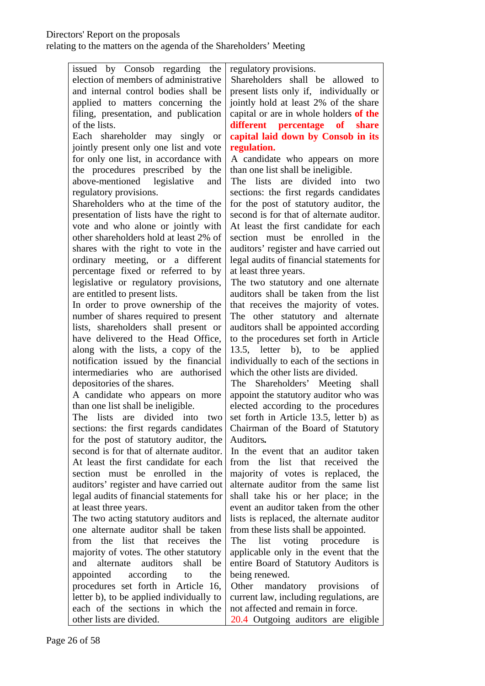| issued by Consob regarding the                                              | regulatory provisions.                                                    |
|-----------------------------------------------------------------------------|---------------------------------------------------------------------------|
| election of members of administrative                                       | Shareholders shall be allowed to                                          |
| and internal control bodies shall be                                        | present lists only if, individually or                                    |
| applied to matters concerning the                                           | jointly hold at least 2% of the share                                     |
| filing, presentation, and publication                                       | capital or are in whole holders of the                                    |
| of the lists.                                                               | different percentage<br>of share                                          |
| Each shareholder may singly or                                              | capital laid down by Consob in its                                        |
| jointly present only one list and vote                                      | regulation.                                                               |
| for only one list, in accordance with                                       | A candidate who appears on more                                           |
| the procedures prescribed by<br>the                                         | than one list shall be ineligible.                                        |
| above-mentioned legislative<br>and                                          | are divided into two<br>The lists                                         |
| regulatory provisions.                                                      | sections: the first regards candidates                                    |
| Shareholders who at the time of the                                         | for the post of statutory auditor, the                                    |
| presentation of lists have the right to                                     | second is for that of alternate auditor.                                  |
| vote and who alone or jointly with                                          | At least the first candidate for each                                     |
| other shareholders hold at least 2% of                                      | section must be enrolled in the                                           |
| shares with the right to vote in the                                        | auditors' register and have carried out                                   |
| ordinary meeting, or a different                                            | legal audits of financial statements for                                  |
| percentage fixed or referred to by                                          | at least three years.                                                     |
| legislative or regulatory provisions,                                       | The two statutory and one alternate                                       |
| are entitled to present lists.                                              | auditors shall be taken from the list                                     |
| In order to prove ownership of the                                          | that receives the majority of votes.                                      |
| number of shares required to present                                        | The other statutory and alternate                                         |
| lists, shareholders shall present or                                        | auditors shall be appointed according                                     |
| have delivered to the Head Office,                                          | to the procedures set forth in Article                                    |
| along with the lists, a copy of the<br>notification issued by the financial | 13.5, letter b), to be applied<br>individually to each of the sections in |
| intermediaries who are authorised                                           | which the other lists are divided.                                        |
| depositories of the shares.                                                 | The Shareholders' Meeting shall                                           |
| A candidate who appears on more                                             | appoint the statutory auditor who was                                     |
| than one list shall be ineligible.                                          | elected according to the procedures                                       |
| The lists are divided into two                                              | set forth in Article 13.5, letter b) as                                   |
| sections: the first regards candidates                                      | Chairman of the Board of Statutory                                        |
| for the post of statutory auditor, the                                      | Auditors.                                                                 |
| second is for that of alternate auditor.                                    | In the event that an auditor taken                                        |
| At least the first candidate for each                                       | from the list that received<br>the                                        |
| section must be enrolled in the                                             | majority of votes is replaced, the                                        |
| auditors' register and have carried out                                     | alternate auditor from the same list                                      |
| legal audits of financial statements for                                    | shall take his or her place; in the                                       |
| at least three years.                                                       | event an auditor taken from the other                                     |
| The two acting statutory auditors and                                       | lists is replaced, the alternate auditor                                  |
| one alternate auditor shall be taken                                        | from these lists shall be appointed.                                      |
| from the list that receives<br>the                                          | list<br>voting procedure<br>The<br>is                                     |
| majority of votes. The other statutory                                      | applicable only in the event that the                                     |
| alternate<br>auditors<br>shall<br>be<br>and                                 | entire Board of Statutory Auditors is                                     |
| appointed<br>according<br>the<br>to                                         | being renewed.                                                            |
| procedures set forth in Article 16,                                         | Other<br>mandatory<br>provisions<br>οf                                    |
| letter b), to be applied individually to                                    | current law, including regulations, are                                   |
| each of the sections in which the                                           | not affected and remain in force.                                         |
| other lists are divided.                                                    | 20.4 Outgoing auditors are eligible                                       |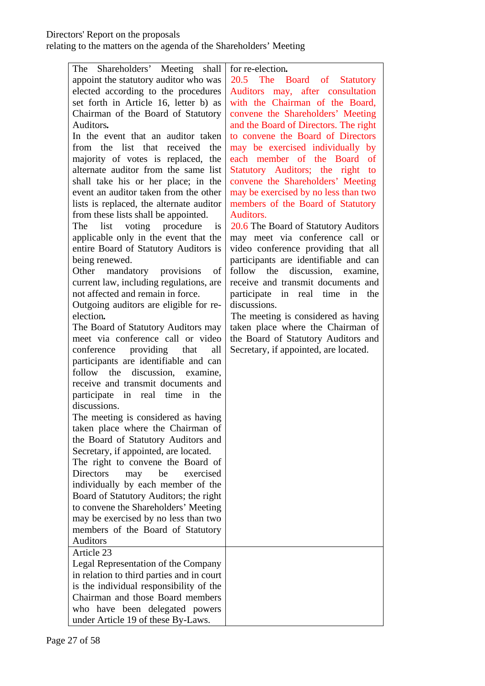| The Shareholders' Meeting shall            | for re-election.                      |
|--------------------------------------------|---------------------------------------|
| appoint the statutory auditor who was      | 20.5 The Board of Statutory           |
| elected according to the procedures        | Auditors may, after consultation      |
| set forth in Article 16, letter b) as      | with the Chairman of the Board,       |
| Chairman of the Board of Statutory         | convene the Shareholders' Meeting     |
| Auditors.                                  | and the Board of Directors. The right |
| In the event that an auditor taken         | to convene the Board of Directors     |
| from the list that received<br>the         | may be exercised individually by      |
| majority of votes is replaced, the         | each member of the Board of           |
| alternate auditor from the same list       | Statutory Auditors; the right to      |
| shall take his or her place; in the        | convene the Shareholders' Meeting     |
| event an auditor taken from the other      | may be exercised by no less than two  |
| lists is replaced, the alternate auditor   | members of the Board of Statutory     |
| from these lists shall be appointed.       | Auditors.                             |
| voting procedure<br>list<br>The<br>is      | 20.6 The Board of Statutory Auditors  |
| applicable only in the event that the      | may meet via conference call or       |
| entire Board of Statutory Auditors is      | video conference providing that all   |
| being renewed.                             | participants are identifiable and can |
| Other mandatory provisions<br>of           | follow the discussion, examine,       |
| current law, including regulations, are    | receive and transmit documents and    |
| not affected and remain in force.          | participate in real time<br>in the    |
| Outgoing auditors are eligible for re-     | discussions.                          |
| election.                                  | The meeting is considered as having   |
| The Board of Statutory Auditors may        | taken place where the Chairman of     |
| meet via conference call or video          | the Board of Statutory Auditors and   |
| conference providing that<br>all           | Secretary, if appointed, are located. |
| participants are identifiable and can      |                                       |
| follow<br>discussion, examine,<br>the      |                                       |
| receive and transmit documents and         |                                       |
| participate in real time in<br>the         |                                       |
| discussions.                               |                                       |
| The meeting is considered as having        |                                       |
| taken place where the Chairman of          |                                       |
| the Board of Statutory Auditors and        |                                       |
| Secretary, if appointed, are located.      |                                       |
| The right to convene the Board of          |                                       |
| <b>Directors</b><br>be<br>exercised<br>may |                                       |
| individually by each member of the         |                                       |
| Board of Statutory Auditors; the right     |                                       |
| to convene the Shareholders' Meeting       |                                       |
| may be exercised by no less than two       |                                       |
| members of the Board of Statutory          |                                       |
| <b>Auditors</b>                            |                                       |
| Article 23                                 |                                       |
| Legal Representation of the Company        |                                       |
| in relation to third parties and in court  |                                       |
| is the individual responsibility of the    |                                       |
| Chairman and those Board members           |                                       |
| who have been delegated powers             |                                       |
| under Article 19 of these By-Laws.         |                                       |
|                                            |                                       |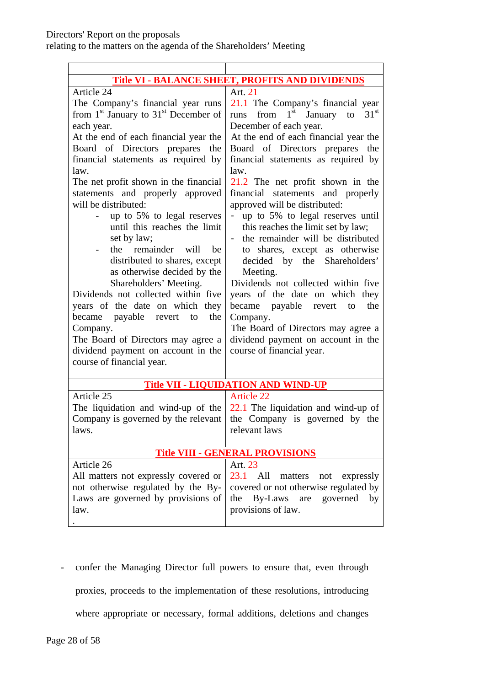| <b>Title VI - BALANCE SHEET, PROFITS AND DIVIDENDS</b>        |                                                               |  |  |  |  |
|---------------------------------------------------------------|---------------------------------------------------------------|--|--|--|--|
| Article 24                                                    | Art. 21                                                       |  |  |  |  |
| The Company's financial year runs                             | 21.1 The Company's financial year                             |  |  |  |  |
| from $1st$ January to $31st$ December of                      | from $1st$<br>31 <sup>st</sup><br>January<br>to<br>runs       |  |  |  |  |
| each year.                                                    | December of each year.                                        |  |  |  |  |
| At the end of each financial year the                         | At the end of each financial year the                         |  |  |  |  |
| Board of Directors prepares<br>the                            | Board of Directors prepares the                               |  |  |  |  |
| financial statements as required by                           | financial statements as required by                           |  |  |  |  |
| law.                                                          | law.                                                          |  |  |  |  |
| The net profit shown in the financial                         | 21.2 The net profit shown in the                              |  |  |  |  |
| statements and properly approved                              | financial statements and properly                             |  |  |  |  |
| will be distributed:                                          | approved will be distributed:                                 |  |  |  |  |
| up to 5% to legal reserves                                    | up to 5% to legal reserves until                              |  |  |  |  |
| until this reaches the limit                                  | this reaches the limit set by law;                            |  |  |  |  |
| set by law;                                                   | the remainder will be distributed<br>$\overline{\phantom{0}}$ |  |  |  |  |
| the remainder will<br>be                                      | to shares, except as otherwise                                |  |  |  |  |
| distributed to shares, except                                 | decided by the Shareholders'                                  |  |  |  |  |
| as otherwise decided by the                                   | Meeting.                                                      |  |  |  |  |
| Shareholders' Meeting.<br>Dividends not collected within five | Dividends not collected within five                           |  |  |  |  |
|                                                               | years of the date on which they<br>the                        |  |  |  |  |
| years of the date on which they<br>the<br>to                  | became payable revert<br>to                                   |  |  |  |  |
| became payable revert<br>Company.                             | Company.<br>The Board of Directors may agree a                |  |  |  |  |
| The Board of Directors may agree a                            | dividend payment on account in the                            |  |  |  |  |
| dividend payment on account in the                            | course of financial year.                                     |  |  |  |  |
| course of financial year.                                     |                                                               |  |  |  |  |
|                                                               |                                                               |  |  |  |  |
|                                                               | <b>Title VII - LIQUIDATION AND WIND-UP</b>                    |  |  |  |  |
| Article 25                                                    | <b>Article 22</b>                                             |  |  |  |  |
| The liquidation and wind-up of the                            | $22.1$ The liquidation and wind-up of                         |  |  |  |  |
| Company is governed by the relevant                           | the Company is governed by the                                |  |  |  |  |
| laws.                                                         | relevant laws                                                 |  |  |  |  |
|                                                               |                                                               |  |  |  |  |
| <b>Title VIII - GENERAL PROVISIONS</b>                        |                                                               |  |  |  |  |
| Article 26                                                    | Art. 23                                                       |  |  |  |  |
| All matters not expressly covered or                          | 23.1<br>All<br>matters not expressly                          |  |  |  |  |
| not otherwise regulated by the By-                            | covered or not otherwise regulated by                         |  |  |  |  |
| Laws are governed by provisions of                            | By-Laws are governed<br>the<br>by                             |  |  |  |  |
| law.                                                          | provisions of law.                                            |  |  |  |  |
|                                                               |                                                               |  |  |  |  |

- confer the Managing Director full powers to ensure that, even through proxies, proceeds to the implementation of these resolutions, introducing where appropriate or necessary, formal additions, deletions and changes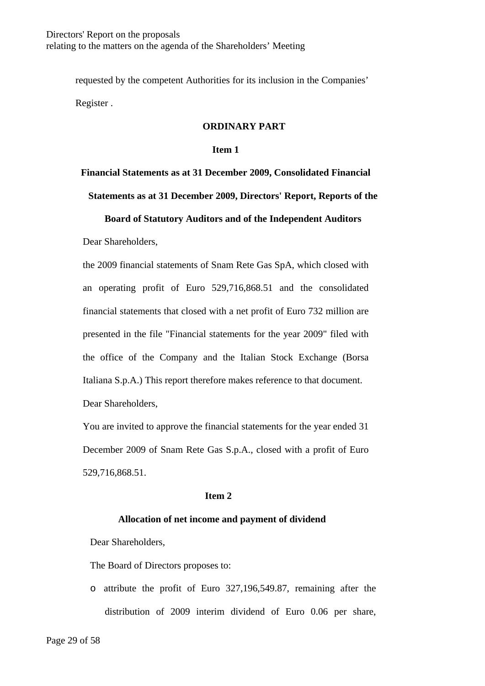requested by the competent Authorities for its inclusion in the Companies' Register .

#### **ORDINARY PART**

#### **Item 1**

# **Financial Statements as at 31 December 2009, Consolidated Financial**

**Statements as at 31 December 2009, Directors' Report, Reports of the** 

### **Board of Statutory Auditors and of the Independent Auditors**

Dear Shareholders,

the 2009 financial statements of Snam Rete Gas SpA, which closed with an operating profit of Euro 529,716,868.51 and the consolidated financial statements that closed with a net profit of Euro 732 million are presented in the file "Financial statements for the year 2009" filed with the office of the Company and the Italian Stock Exchange (Borsa Italiana S.p.A.) This report therefore makes reference to that document. Dear Shareholders,

You are invited to approve the financial statements for the year ended 31 December 2009 of Snam Rete Gas S.p.A., closed with a profit of Euro 529,716,868.51.

### **Item 2**

### **Allocation of net income and payment of dividend**

Dear Shareholders,

The Board of Directors proposes to:

o attribute the profit of Euro 327,196,549.87, remaining after the distribution of 2009 interim dividend of Euro 0.06 per share,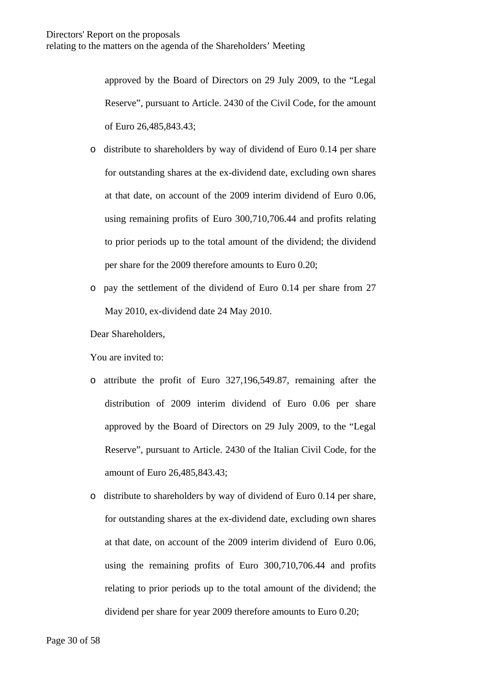approved by the Board of Directors on 29 July 2009, to the "Legal Reserve", pursuant to Article. 2430 of the Civil Code, for the amount of Euro 26,485,843.43;

- o distribute to shareholders by way of dividend of Euro 0.14 per share for outstanding shares at the ex-dividend date, excluding own shares at that date, on account of the 2009 interim dividend of Euro 0.06, using remaining profits of Euro 300,710,706.44 and profits relating to prior periods up to the total amount of the dividend; the dividend per share for the 2009 therefore amounts to Euro 0.20;
- o pay the settlement of the dividend of Euro 0.14 per share from 27 May 2010, ex-dividend date 24 May 2010.

Dear Shareholders,

You are invited to:

- o attribute the profit of Euro 327,196,549.87, remaining after the distribution of 2009 interim dividend of Euro 0.06 per share approved by the Board of Directors on 29 July 2009, to the "Legal Reserve", pursuant to Article. 2430 of the Italian Civil Code, for the amount of Euro 26,485,843.43;
- o distribute to shareholders by way of dividend of Euro 0.14 per share, for outstanding shares at the ex-dividend date, excluding own shares at that date, on account of the 2009 interim dividend of Euro 0.06, using the remaining profits of Euro 300,710,706.44 and profits relating to prior periods up to the total amount of the dividend; the dividend per share for year 2009 therefore amounts to Euro 0.20;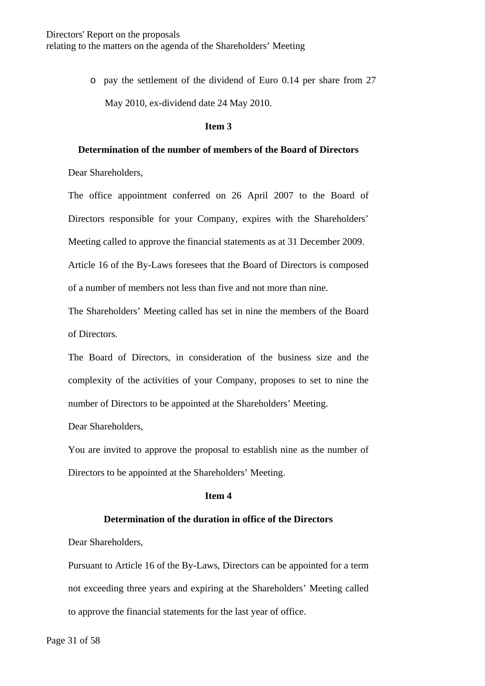o pay the settlement of the dividend of Euro 0.14 per share from 27 May 2010, ex-dividend date 24 May 2010.

#### **Item 3**

### **Determination of the number of members of the Board of Directors**

Dear Shareholders,

The office appointment conferred on 26 April 2007 to the Board of Directors responsible for your Company, expires with the Shareholders' Meeting called to approve the financial statements as at 31 December 2009. Article 16 of the By-Laws foresees that the Board of Directors is composed of a number of members not less than five and not more than nine.

The Shareholders' Meeting called has set in nine the members of the Board of Directors.

The Board of Directors, in consideration of the business size and the complexity of the activities of your Company, proposes to set to nine the number of Directors to be appointed at the Shareholders' Meeting.

Dear Shareholders,

You are invited to approve the proposal to establish nine as the number of Directors to be appointed at the Shareholders' Meeting.

#### **Item 4**

### **Determination of the duration in office of the Directors**

Dear Shareholders,

Pursuant to Article 16 of the By-Laws, Directors can be appointed for a term not exceeding three years and expiring at the Shareholders' Meeting called to approve the financial statements for the last year of office.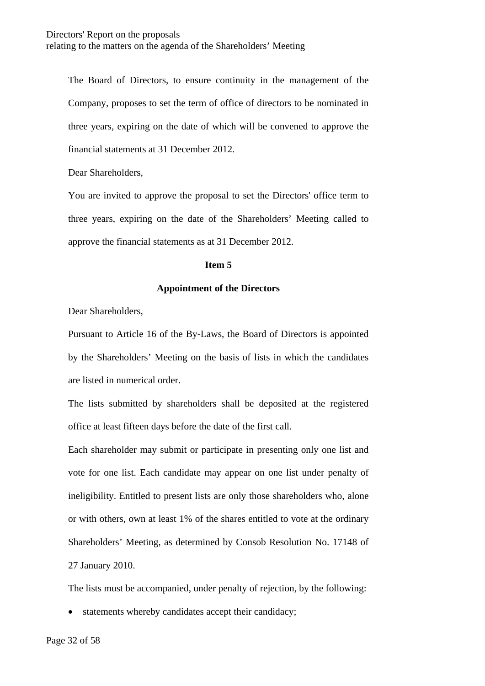The Board of Directors, to ensure continuity in the management of the Company, proposes to set the term of office of directors to be nominated in three years, expiring on the date of which will be convened to approve the financial statements at 31 December 2012.

Dear Shareholders,

You are invited to approve the proposal to set the Directors' office term to three years, expiring on the date of the Shareholders' Meeting called to approve the financial statements as at 31 December 2012.

#### **Item 5**

#### **Appointment of the Directors**

Dear Shareholders,

Pursuant to Article 16 of the By-Laws, the Board of Directors is appointed by the Shareholders' Meeting on the basis of lists in which the candidates are listed in numerical order.

The lists submitted by shareholders shall be deposited at the registered office at least fifteen days before the date of the first call.

Each shareholder may submit or participate in presenting only one list and vote for one list. Each candidate may appear on one list under penalty of ineligibility. Entitled to present lists are only those shareholders who, alone or with others, own at least 1% of the shares entitled to vote at the ordinary Shareholders' Meeting, as determined by Consob Resolution No. 17148 of 27 January 2010.

The lists must be accompanied, under penalty of rejection, by the following:

• statements whereby candidates accept their candidacy;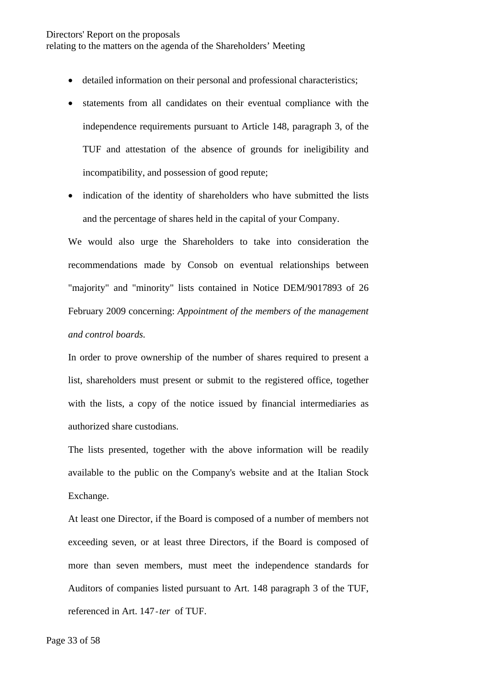### Directors' Report on the proposals relating to the matters on the agenda of the Shareholders' Meeting

- detailed information on their personal and professional characteristics;
- statements from all candidates on their eventual compliance with the independence requirements pursuant to Article 148, paragraph 3, of the TUF and attestation of the absence of grounds for ineligibility and incompatibility, and possession of good repute;
- indication of the identity of shareholders who have submitted the lists and the percentage of shares held in the capital of your Company.

We would also urge the Shareholders to take into consideration the recommendations made by Consob on eventual relationships between "majority" and "minority" lists contained in Notice DEM/9017893 of 26 February 2009 concerning: *Appointment of the members of the management and control boards.* 

In order to prove ownership of the number of shares required to present a list, shareholders must present or submit to the registered office, together with the lists, a copy of the notice issued by financial intermediaries as authorized share custodians.

The lists presented, together with the above information will be readily available to the public on the Company's website and at the Italian Stock Exchange.

At least one Director, if the Board is composed of a number of members not exceeding seven, or at least three Directors, if the Board is composed of more than seven members, must meet the independence standards for Auditors of companies listed pursuant to Art. 148 paragraph 3 of the TUF, referenced in Art. 147-*ter* of TUF.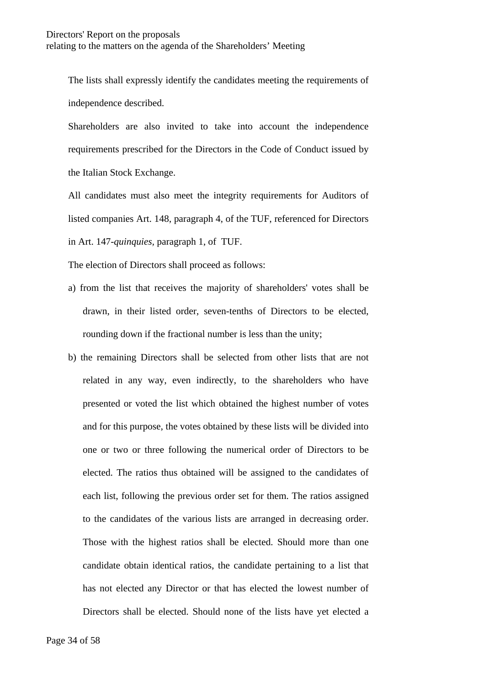The lists shall expressly identify the candidates meeting the requirements of independence described.

Shareholders are also invited to take into account the independence requirements prescribed for the Directors in the Code of Conduct issued by the Italian Stock Exchange.

All candidates must also meet the integrity requirements for Auditors of listed companies Art. 148, paragraph 4, of the TUF, referenced for Directors in Art. 147-*quinquies,* paragraph 1, of TUF.

The election of Directors shall proceed as follows:

- a) from the list that receives the majority of shareholders' votes shall be drawn, in their listed order, seven-tenths of Directors to be elected, rounding down if the fractional number is less than the unity;
- b) the remaining Directors shall be selected from other lists that are not related in any way, even indirectly, to the shareholders who have presented or voted the list which obtained the highest number of votes and for this purpose, the votes obtained by these lists will be divided into one or two or three following the numerical order of Directors to be elected. The ratios thus obtained will be assigned to the candidates of each list, following the previous order set for them. The ratios assigned to the candidates of the various lists are arranged in decreasing order. Those with the highest ratios shall be elected. Should more than one candidate obtain identical ratios, the candidate pertaining to a list that has not elected any Director or that has elected the lowest number of Directors shall be elected. Should none of the lists have yet elected a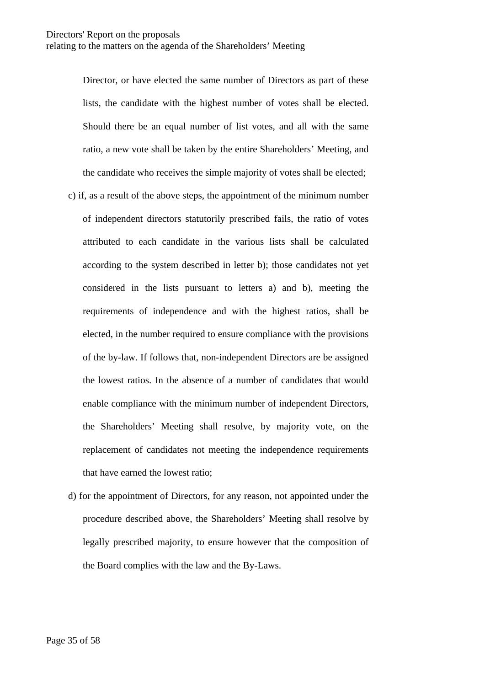Director, or have elected the same number of Directors as part of these lists, the candidate with the highest number of votes shall be elected. Should there be an equal number of list votes, and all with the same ratio, a new vote shall be taken by the entire Shareholders' Meeting, and the candidate who receives the simple majority of votes shall be elected;

- c) if, as a result of the above steps, the appointment of the minimum number of independent directors statutorily prescribed fails, the ratio of votes attributed to each candidate in the various lists shall be calculated according to the system described in letter b); those candidates not yet considered in the lists pursuant to letters a) and b), meeting the requirements of independence and with the highest ratios, shall be elected, in the number required to ensure compliance with the provisions of the by-law. If follows that, non-independent Directors are be assigned the lowest ratios. In the absence of a number of candidates that would enable compliance with the minimum number of independent Directors, the Shareholders' Meeting shall resolve, by majority vote, on the replacement of candidates not meeting the independence requirements that have earned the lowest ratio;
- d) for the appointment of Directors, for any reason, not appointed under the procedure described above, the Shareholders' Meeting shall resolve by legally prescribed majority, to ensure however that the composition of the Board complies with the law and the By-Laws.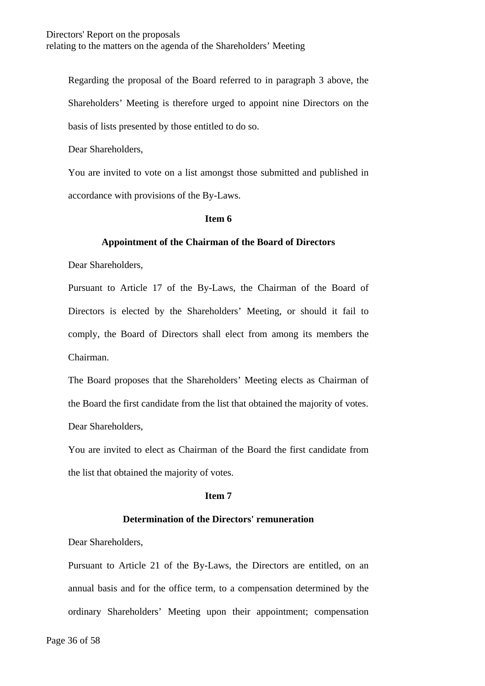Regarding the proposal of the Board referred to in paragraph 3 above, the Shareholders' Meeting is therefore urged to appoint nine Directors on the basis of lists presented by those entitled to do so.

Dear Shareholders,

You are invited to vote on a list amongst those submitted and published in accordance with provisions of the By-Laws.

### **Item 6**

### **Appointment of the Chairman of the Board of Directors**

Dear Shareholders,

Pursuant to Article 17 of the By-Laws, the Chairman of the Board of Directors is elected by the Shareholders' Meeting, or should it fail to comply, the Board of Directors shall elect from among its members the Chairman.

The Board proposes that the Shareholders' Meeting elects as Chairman of the Board the first candidate from the list that obtained the majority of votes. Dear Shareholders,

You are invited to elect as Chairman of the Board the first candidate from the list that obtained the majority of votes.

### **Item 7**

### **Determination of the Directors' remuneration**

Dear Shareholders,

Pursuant to Article 21 of the By-Laws, the Directors are entitled, on an annual basis and for the office term, to a compensation determined by the ordinary Shareholders' Meeting upon their appointment; compensation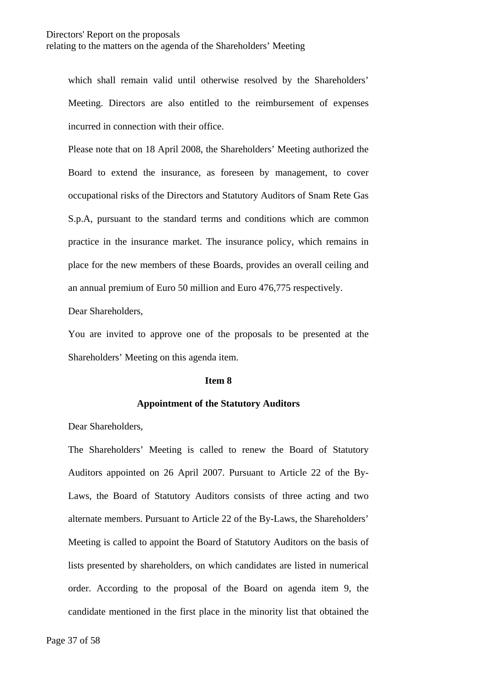which shall remain valid until otherwise resolved by the Shareholders' Meeting. Directors are also entitled to the reimbursement of expenses incurred in connection with their office.

Please note that on 18 April 2008, the Shareholders' Meeting authorized the Board to extend the insurance, as foreseen by management, to cover occupational risks of the Directors and Statutory Auditors of Snam Rete Gas S.p.A, pursuant to the standard terms and conditions which are common practice in the insurance market. The insurance policy, which remains in place for the new members of these Boards, provides an overall ceiling and an annual premium of Euro 50 million and Euro 476,775 respectively.

Dear Shareholders,

You are invited to approve one of the proposals to be presented at the Shareholders' Meeting on this agenda item.

#### **Item 8**

#### **Appointment of the Statutory Auditors**

Dear Shareholders,

The Shareholders' Meeting is called to renew the Board of Statutory Auditors appointed on 26 April 2007. Pursuant to Article 22 of the By-Laws, the Board of Statutory Auditors consists of three acting and two alternate members. Pursuant to Article 22 of the By-Laws, the Shareholders' Meeting is called to appoint the Board of Statutory Auditors on the basis of lists presented by shareholders, on which candidates are listed in numerical order. According to the proposal of the Board on agenda item 9, the candidate mentioned in the first place in the minority list that obtained the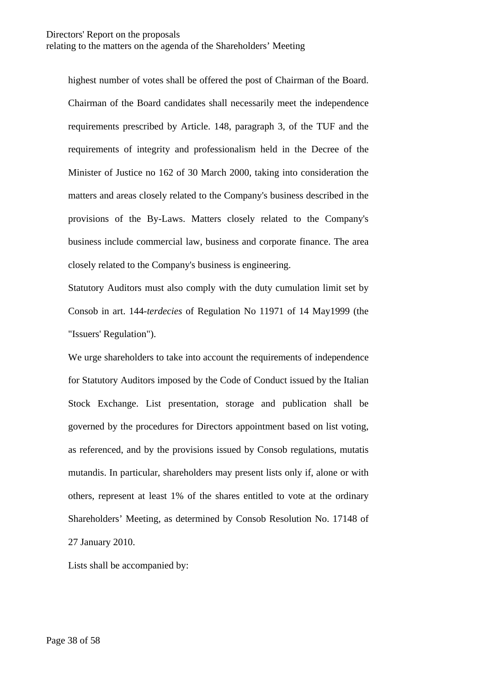highest number of votes shall be offered the post of Chairman of the Board. Chairman of the Board candidates shall necessarily meet the independence requirements prescribed by Article. 148, paragraph 3, of the TUF and the requirements of integrity and professionalism held in the Decree of the Minister of Justice no 162 of 30 March 2000, taking into consideration the matters and areas closely related to the Company's business described in the provisions of the By-Laws. Matters closely related to the Company's business include commercial law, business and corporate finance. The area closely related to the Company's business is engineering.

Statutory Auditors must also comply with the duty cumulation limit set by Consob in art. 144-*terdecies* of Regulation No 11971 of 14 May1999 (the "Issuers' Regulation").

We urge shareholders to take into account the requirements of independence for Statutory Auditors imposed by the Code of Conduct issued by the Italian Stock Exchange. List presentation, storage and publication shall be governed by the procedures for Directors appointment based on list voting, as referenced, and by the provisions issued by Consob regulations, mutatis mutandis. In particular, shareholders may present lists only if, alone or with others, represent at least 1% of the shares entitled to vote at the ordinary Shareholders' Meeting, as determined by Consob Resolution No. 17148 of 27 January 2010.

Lists shall be accompanied by: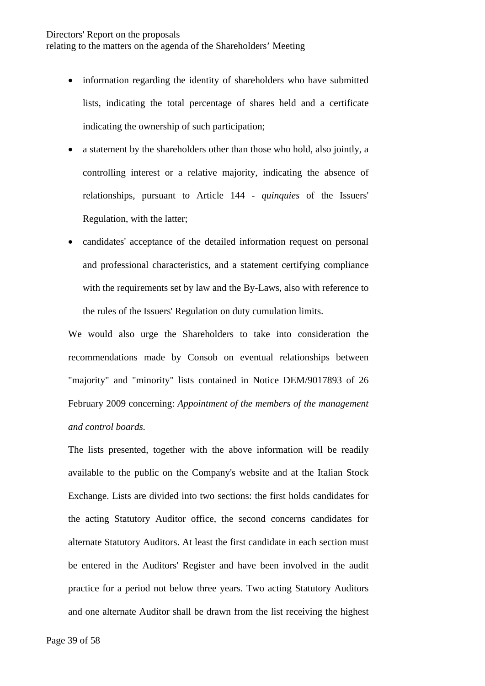- information regarding the identity of shareholders who have submitted lists, indicating the total percentage of shares held and a certificate indicating the ownership of such participation;
- a statement by the shareholders other than those who hold, also jointly, a controlling interest or a relative majority, indicating the absence of relationships, pursuant to Article 144 - *quinquies* of the Issuers' Regulation, with the latter;
- candidates' acceptance of the detailed information request on personal and professional characteristics, and a statement certifying compliance with the requirements set by law and the By-Laws, also with reference to the rules of the Issuers' Regulation on duty cumulation limits.

We would also urge the Shareholders to take into consideration the recommendations made by Consob on eventual relationships between "majority" and "minority" lists contained in Notice DEM/9017893 of 26 February 2009 concerning: *Appointment of the members of the management and control boards.* 

The lists presented, together with the above information will be readily available to the public on the Company's website and at the Italian Stock Exchange. Lists are divided into two sections: the first holds candidates for the acting Statutory Auditor office, the second concerns candidates for alternate Statutory Auditors. At least the first candidate in each section must be entered in the Auditors' Register and have been involved in the audit practice for a period not below three years. Two acting Statutory Auditors and one alternate Auditor shall be drawn from the list receiving the highest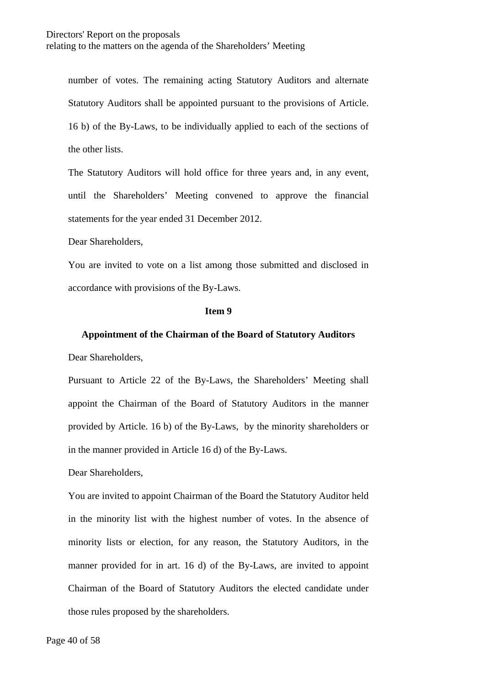number of votes. The remaining acting Statutory Auditors and alternate Statutory Auditors shall be appointed pursuant to the provisions of Article. 16 b) of the By-Laws, to be individually applied to each of the sections of the other lists.

The Statutory Auditors will hold office for three years and, in any event, until the Shareholders' Meeting convened to approve the financial statements for the year ended 31 December 2012.

Dear Shareholders,

You are invited to vote on a list among those submitted and disclosed in accordance with provisions of the By-Laws.

#### **Item 9**

#### **Appointment of the Chairman of the Board of Statutory Auditors**

Dear Shareholders,

Pursuant to Article 22 of the By-Laws, the Shareholders' Meeting shall appoint the Chairman of the Board of Statutory Auditors in the manner provided by Article. 16 b) of the By-Laws, by the minority shareholders or in the manner provided in Article 16 d) of the By-Laws.

Dear Shareholders,

You are invited to appoint Chairman of the Board the Statutory Auditor held in the minority list with the highest number of votes. In the absence of minority lists or election, for any reason, the Statutory Auditors, in the manner provided for in art. 16 d) of the By-Laws, are invited to appoint Chairman of the Board of Statutory Auditors the elected candidate under those rules proposed by the shareholders.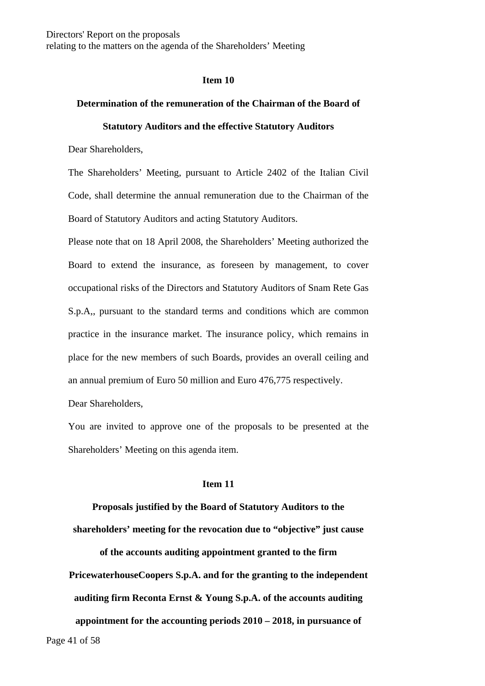#### **Item 10**

### **Determination of the remuneration of the Chairman of the Board of**

#### **Statutory Auditors and the effective Statutory Auditors**

Dear Shareholders,

The Shareholders' Meeting, pursuant to Article 2402 of the Italian Civil Code, shall determine the annual remuneration due to the Chairman of the Board of Statutory Auditors and acting Statutory Auditors.

Please note that on 18 April 2008, the Shareholders' Meeting authorized the Board to extend the insurance, as foreseen by management, to cover occupational risks of the Directors and Statutory Auditors of Snam Rete Gas S.p.A,, pursuant to the standard terms and conditions which are common practice in the insurance market. The insurance policy, which remains in place for the new members of such Boards, provides an overall ceiling and an annual premium of Euro 50 million and Euro 476,775 respectively.

Dear Shareholders,

You are invited to approve one of the proposals to be presented at the Shareholders' Meeting on this agenda item.

#### **Item 11**

**Proposals justified by the Board of Statutory Auditors to the shareholders' meeting for the revocation due to "objective" just cause** 

**of the accounts auditing appointment granted to the firm PricewaterhouseCoopers S.p.A. and for the granting to the independent auditing firm Reconta Ernst & Young S.p.A. of the accounts auditing** 

Page 41 of 58 **appointment for the accounting periods 2010 – 2018, in pursuance of**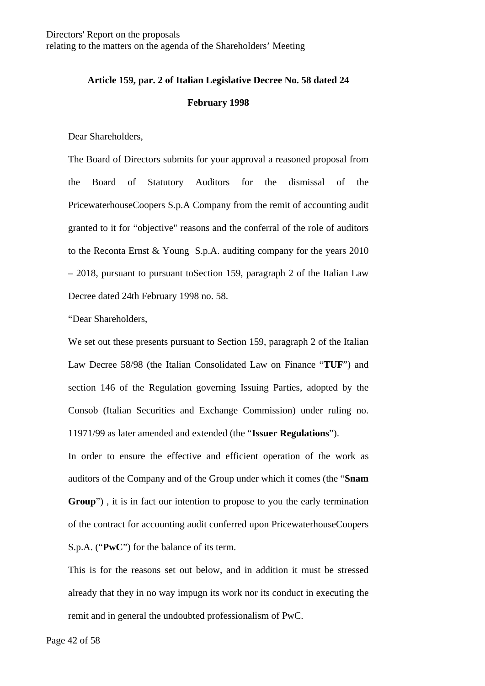# **Article 159, par. 2 of Italian Legislative Decree No. 58 dated 24**

#### **February 1998**

Dear Shareholders,

The Board of Directors submits for your approval a reasoned proposal from the Board of Statutory Auditors for the dismissal of the PricewaterhouseCoopers S.p.A Company from the remit of accounting audit granted to it for "objective" reasons and the conferral of the role of auditors to the Reconta Ernst & Young S.p.A. auditing company for the years 2010 – 2018, pursuant to pursuant toSection 159, paragraph 2 of the Italian Law Decree dated 24th February 1998 no. 58.

"Dear Shareholders,

We set out these presents pursuant to Section 159, paragraph 2 of the Italian Law Decree 58/98 (the Italian Consolidated Law on Finance "**TUF**") and section 146 of the Regulation governing Issuing Parties, adopted by the Consob (Italian Securities and Exchange Commission) under ruling no. 11971/99 as later amended and extended (the "**Issuer Regulations**").

In order to ensure the effective and efficient operation of the work as auditors of the Company and of the Group under which it comes (the "**Snam Group**") , it is in fact our intention to propose to you the early termination of the contract for accounting audit conferred upon PricewaterhouseCoopers S.p.A. ("**PwC**") for the balance of its term.

This is for the reasons set out below, and in addition it must be stressed already that they in no way impugn its work nor its conduct in executing the remit and in general the undoubted professionalism of PwC.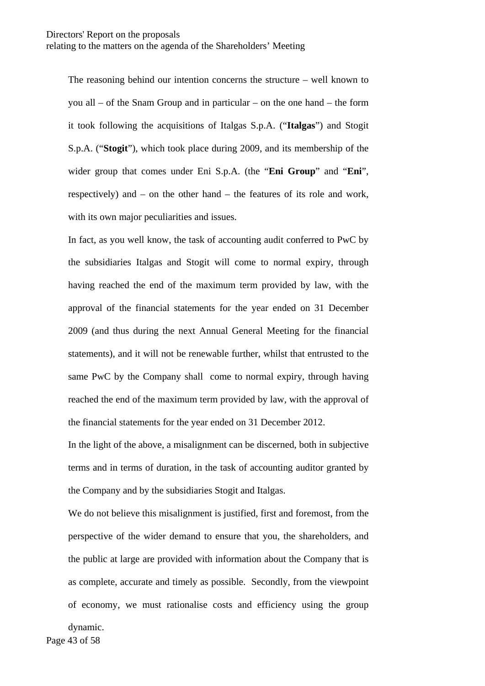The reasoning behind our intention concerns the structure – well known to you all – of the Snam Group and in particular – on the one hand – the form it took following the acquisitions of Italgas S.p.A. ("**Italgas**") and Stogit S.p.A. ("**Stogit**"), which took place during 2009, and its membership of the wider group that comes under Eni S.p.A. (the "**Eni Group**" and "**Eni**", respectively) and – on the other hand – the features of its role and work, with its own major peculiarities and issues.

In fact, as you well know, the task of accounting audit conferred to PwC by the subsidiaries Italgas and Stogit will come to normal expiry, through having reached the end of the maximum term provided by law, with the approval of the financial statements for the year ended on 31 December 2009 (and thus during the next Annual General Meeting for the financial statements), and it will not be renewable further, whilst that entrusted to the same PwC by the Company shall come to normal expiry, through having reached the end of the maximum term provided by law, with the approval of the financial statements for the year ended on 31 December 2012.

In the light of the above, a misalignment can be discerned, both in subjective terms and in terms of duration, in the task of accounting auditor granted by the Company and by the subsidiaries Stogit and Italgas.

We do not believe this misalignment is justified, first and foremost, from the perspective of the wider demand to ensure that you, the shareholders, and the public at large are provided with information about the Company that is as complete, accurate and timely as possible. Secondly, from the viewpoint of economy, we must rationalise costs and efficiency using the group

dynamic.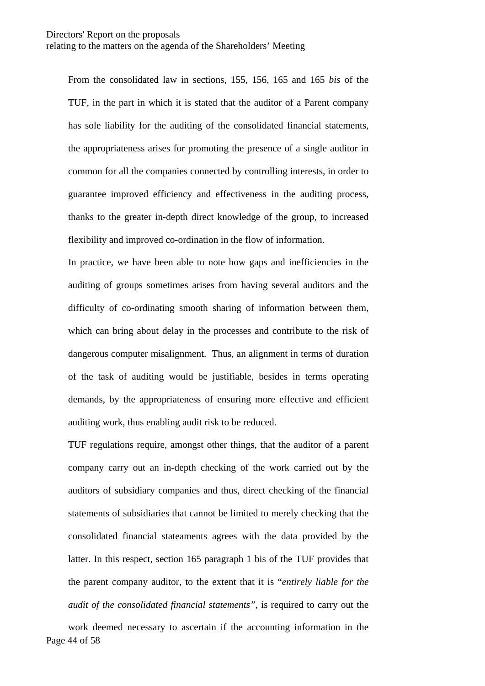From the consolidated law in sections, 155, 156, 165 and 165 *bis* of the TUF, in the part in which it is stated that the auditor of a Parent company has sole liability for the auditing of the consolidated financial statements, the appropriateness arises for promoting the presence of a single auditor in common for all the companies connected by controlling interests, in order to guarantee improved efficiency and effectiveness in the auditing process, thanks to the greater in-depth direct knowledge of the group, to increased flexibility and improved co-ordination in the flow of information.

In practice, we have been able to note how gaps and inefficiencies in the auditing of groups sometimes arises from having several auditors and the difficulty of co-ordinating smooth sharing of information between them, which can bring about delay in the processes and contribute to the risk of dangerous computer misalignment. Thus, an alignment in terms of duration of the task of auditing would be justifiable, besides in terms operating demands, by the appropriateness of ensuring more effective and efficient auditing work, thus enabling audit risk to be reduced.

TUF regulations require, amongst other things, that the auditor of a parent company carry out an in-depth checking of the work carried out by the auditors of subsidiary companies and thus, direct checking of the financial statements of subsidiaries that cannot be limited to merely checking that the consolidated financial stateaments agrees with the data provided by the latter. In this respect, section 165 paragraph 1 bis of the TUF provides that the parent company auditor, to the extent that it is "*entirely liable for the audit of the consolidated financial statements"*, is required to carry out the

Page 44 of 58 work deemed necessary to ascertain if the accounting information in the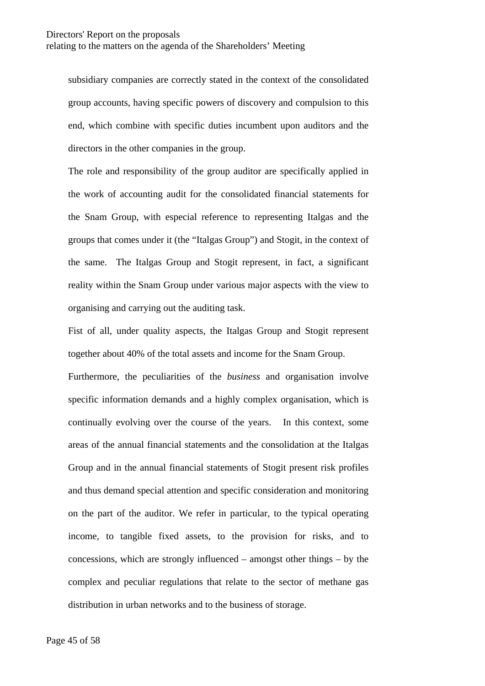subsidiary companies are correctly stated in the context of the consolidated group accounts, having specific powers of discovery and compulsion to this end, which combine with specific duties incumbent upon auditors and the directors in the other companies in the group.

The role and responsibility of the group auditor are specifically applied in the work of accounting audit for the consolidated financial statements for the Snam Group, with especial reference to representing Italgas and the groups that comes under it (the "Italgas Group") and Stogit, in the context of the same. The Italgas Group and Stogit represent, in fact, a significant reality within the Snam Group under various major aspects with the view to organising and carrying out the auditing task.

Fist of all, under quality aspects, the Italgas Group and Stogit represent together about 40% of the total assets and income for the Snam Group.

Furthermore, the peculiarities of the *business* and organisation involve specific information demands and a highly complex organisation, which is continually evolving over the course of the years. In this context, some areas of the annual financial statements and the consolidation at the Italgas Group and in the annual financial statements of Stogit present risk profiles and thus demand special attention and specific consideration and monitoring on the part of the auditor. We refer in particular, to the typical operating income, to tangible fixed assets, to the provision for risks, and to concessions, which are strongly influenced – amongst other things – by the complex and peculiar regulations that relate to the sector of methane gas distribution in urban networks and to the business of storage.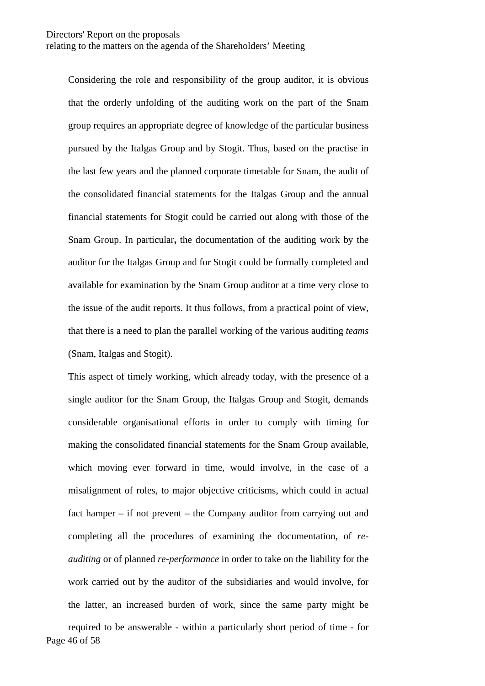Considering the role and responsibility of the group auditor, it is obvious that the orderly unfolding of the auditing work on the part of the Snam group requires an appropriate degree of knowledge of the particular business pursued by the Italgas Group and by Stogit. Thus, based on the practise in the last few years and the planned corporate timetable for Snam, the audit of the consolidated financial statements for the Italgas Group and the annual financial statements for Stogit could be carried out along with those of the Snam Group. In particular**,** the documentation of the auditing work by the auditor for the Italgas Group and for Stogit could be formally completed and available for examination by the Snam Group auditor at a time very close to the issue of the audit reports. It thus follows, from a practical point of view, that there is a need to plan the parallel working of the various auditing *teams*  (Snam, Italgas and Stogit).

Page 46 of 58 This aspect of timely working, which already today, with the presence of a single auditor for the Snam Group, the Italgas Group and Stogit, demands considerable organisational efforts in order to comply with timing for making the consolidated financial statements for the Snam Group available, which moving ever forward in time, would involve, in the case of a misalignment of roles, to major objective criticisms, which could in actual fact hamper – if not prevent – the Company auditor from carrying out and completing all the procedures of examining the documentation, of *reauditing* or of planned *re-performance* in order to take on the liability for the work carried out by the auditor of the subsidiaries and would involve, for the latter, an increased burden of work, since the same party might be required to be answerable - within a particularly short period of time - for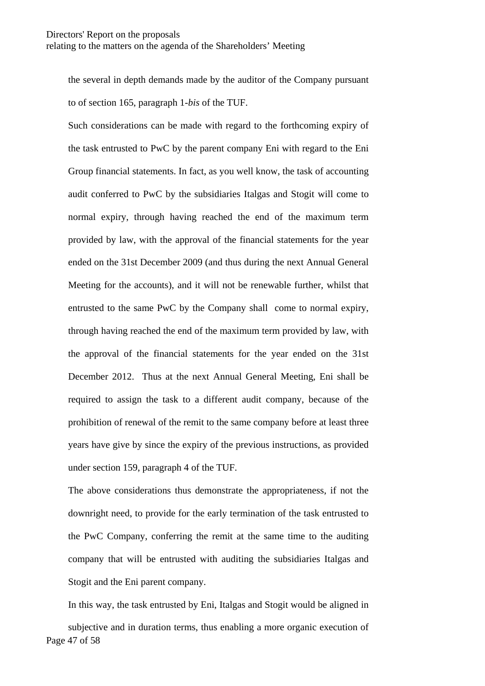the several in depth demands made by the auditor of the Company pursuant to of section 165, paragraph 1-*bis* of the TUF.

Such considerations can be made with regard to the forthcoming expiry of the task entrusted to PwC by the parent company Eni with regard to the Eni Group financial statements. In fact, as you well know, the task of accounting audit conferred to PwC by the subsidiaries Italgas and Stogit will come to normal expiry, through having reached the end of the maximum term provided by law, with the approval of the financial statements for the year ended on the 31st December 2009 (and thus during the next Annual General Meeting for the accounts), and it will not be renewable further, whilst that entrusted to the same PwC by the Company shall come to normal expiry, through having reached the end of the maximum term provided by law, with the approval of the financial statements for the year ended on the 31st December 2012. Thus at the next Annual General Meeting, Eni shall be required to assign the task to a different audit company, because of the prohibition of renewal of the remit to the same company before at least three years have give by since the expiry of the previous instructions, as provided under section 159, paragraph 4 of the TUF.

The above considerations thus demonstrate the appropriateness, if not the downright need, to provide for the early termination of the task entrusted to the PwC Company, conferring the remit at the same time to the auditing company that will be entrusted with auditing the subsidiaries Italgas and Stogit and the Eni parent company.

Page 47 of 58 In this way, the task entrusted by Eni, Italgas and Stogit would be aligned in subjective and in duration terms, thus enabling a more organic execution of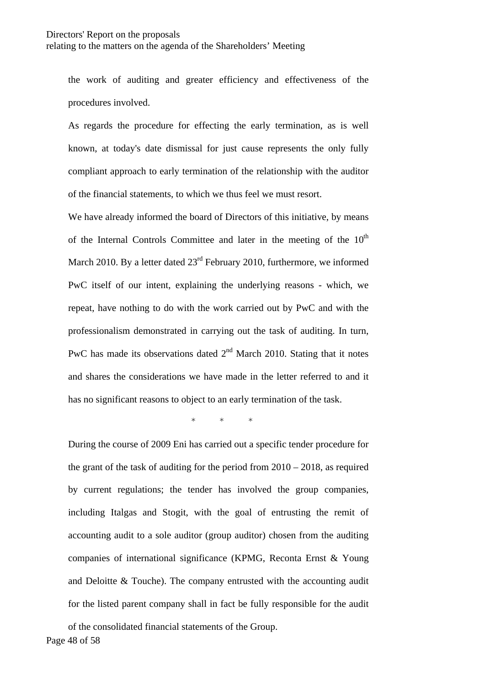the work of auditing and greater efficiency and effectiveness of the procedures involved.

As regards the procedure for effecting the early termination, as is well known, at today's date dismissal for just cause represents the only fully compliant approach to early termination of the relationship with the auditor of the financial statements, to which we thus feel we must resort.

We have already informed the board of Directors of this initiative, by means of the Internal Controls Committee and later in the meeting of the  $10<sup>th</sup>$ March 2010. By a letter dated  $23<sup>rd</sup>$  February 2010, furthermore, we informed PwC itself of our intent, explaining the underlying reasons - which, we repeat, have nothing to do with the work carried out by PwC and with the professionalism demonstrated in carrying out the task of auditing. In turn, PwC has made its observations dated  $2<sup>nd</sup>$  March 2010. Stating that it notes and shares the considerations we have made in the letter referred to and it has no significant reasons to object to an early termination of the task.

\* \* \*

During the course of 2009 Eni has carried out a specific tender procedure for the grant of the task of auditing for the period from  $2010 - 2018$ , as required by current regulations; the tender has involved the group companies, including Italgas and Stogit, with the goal of entrusting the remit of accounting audit to a sole auditor (group auditor) chosen from the auditing companies of international significance (KPMG, Reconta Ernst & Young and Deloitte & Touche). The company entrusted with the accounting audit for the listed parent company shall in fact be fully responsible for the audit

Page 48 of 58 of the consolidated financial statements of the Group.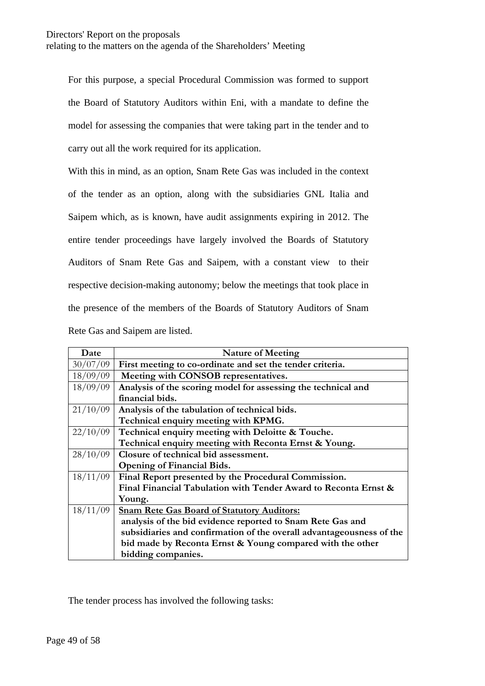For this purpose, a special Procedural Commission was formed to support the Board of Statutory Auditors within Eni, with a mandate to define the model for assessing the companies that were taking part in the tender and to carry out all the work required for its application.

With this in mind, as an option, Snam Rete Gas was included in the context of the tender as an option, along with the subsidiaries GNL Italia and Saipem which, as is known, have audit assignments expiring in 2012. The entire tender proceedings have largely involved the Boards of Statutory Auditors of Snam Rete Gas and Saipem, with a constant view to their respective decision-making autonomy; below the meetings that took place in the presence of the members of the Boards of Statutory Auditors of Snam Rete Gas and Saipem are listed.

| Date     | <b>Nature of Meeting</b>                                             |  |  |
|----------|----------------------------------------------------------------------|--|--|
| 30/07/09 | First meeting to co-ordinate and set the tender criteria.            |  |  |
| 18/09/09 | Meeting with CONSOB representatives.                                 |  |  |
| 18/09/09 | Analysis of the scoring model for assessing the technical and        |  |  |
|          | financial bids.                                                      |  |  |
| 21/10/09 | Analysis of the tabulation of technical bids.                        |  |  |
|          | Technical enquiry meeting with KPMG.                                 |  |  |
| 22/10/09 | Technical enquiry meeting with Deloitte & Touche.                    |  |  |
|          | Technical enquiry meeting with Reconta Ernst & Young.                |  |  |
| 28/10/09 | Closure of technical bid assessment.                                 |  |  |
|          | <b>Opening of Financial Bids.</b>                                    |  |  |
| 18/11/09 | Final Report presented by the Procedural Commission.                 |  |  |
|          | Final Financial Tabulation with Tender Award to Reconta Ernst &      |  |  |
|          | Young.                                                               |  |  |
| 18/11/09 | <b>Snam Rete Gas Board of Statutory Auditors:</b>                    |  |  |
|          | analysis of the bid evidence reported to Snam Rete Gas and           |  |  |
|          | subsidiaries and confirmation of the overall advantageousness of the |  |  |
|          | bid made by Reconta Ernst & Young compared with the other            |  |  |
|          | bidding companies.                                                   |  |  |

The tender process has involved the following tasks: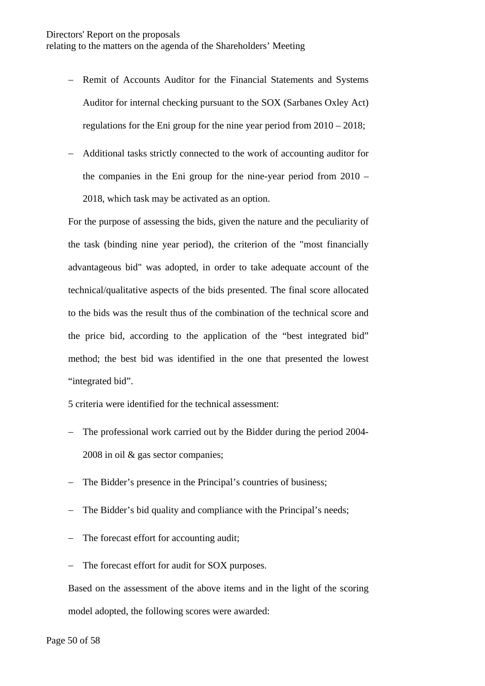- − Remit of Accounts Auditor for the Financial Statements and Systems Auditor for internal checking pursuant to the SOX (Sarbanes Oxley Act) regulations for the Eni group for the nine year period from 2010 – 2018;
- − Additional tasks strictly connected to the work of accounting auditor for the companies in the Eni group for the nine-year period from 2010 – 2018, which task may be activated as an option.

For the purpose of assessing the bids, given the nature and the peculiarity of the task (binding nine year period), the criterion of the "most financially advantageous bid" was adopted, in order to take adequate account of the technical/qualitative aspects of the bids presented. The final score allocated to the bids was the result thus of the combination of the technical score and the price bid, according to the application of the "best integrated bid" method; the best bid was identified in the one that presented the lowest "integrated bid".

5 criteria were identified for the technical assessment:

- − The professional work carried out by the Bidder during the period 2004- 2008 in oil & gas sector companies;
- − The Bidder's presence in the Principal's countries of business;
- − The Bidder's bid quality and compliance with the Principal's needs;
- − The forecast effort for accounting audit;
- − The forecast effort for audit for SOX purposes.

Based on the assessment of the above items and in the light of the scoring model adopted, the following scores were awarded: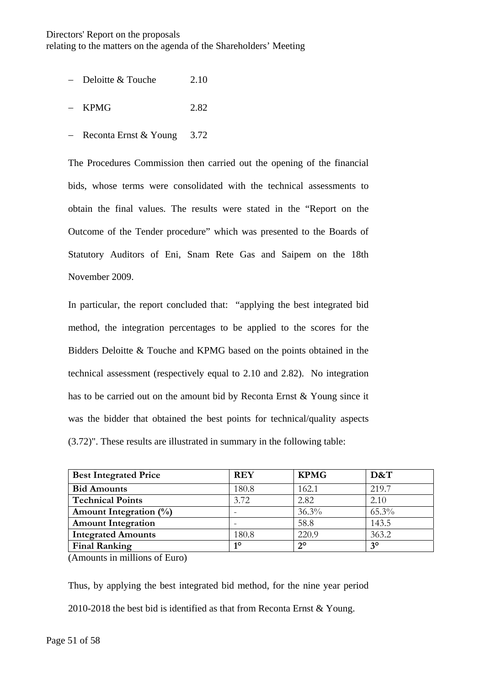- − Deloitte & Touche 2.10
- − KPMG 2.82
- − Reconta Ernst & Young 3.72

The Procedures Commission then carried out the opening of the financial bids, whose terms were consolidated with the technical assessments to obtain the final values. The results were stated in the "Report on the Outcome of the Tender procedure" which was presented to the Boards of Statutory Auditors of Eni, Snam Rete Gas and Saipem on the 18th November 2009.

In particular, the report concluded that: "applying the best integrated bid method, the integration percentages to be applied to the scores for the Bidders Deloitte & Touche and KPMG based on the points obtained in the technical assessment (respectively equal to 2.10 and 2.82). No integration has to be carried out on the amount bid by Reconta Ernst & Young since it was the bidder that obtained the best points for technical/quality aspects (3.72)". These results are illustrated in summary in the following table:

| <b>Best Integrated Price</b> | <b>REY</b> | <b>KPMG</b> | D&T       |
|------------------------------|------------|-------------|-----------|
| <b>Bid Amounts</b>           | 180.8      | 162.1       | 219.7     |
| <b>Technical Points</b>      | 3.72       | 2.82        | 2.10      |
| Amount Integration $(\%)$    |            | 36.3%       | 65.3%     |
| <b>Amount Integration</b>    |            | 58.8        | 143.5     |
| <b>Integrated Amounts</b>    | 180.8      | 220.9       | 363.2     |
| <b>Final Ranking</b>         | $1^\circ$  | $2^{\circ}$ | $3^\circ$ |

(Amounts in millions of Euro)

Thus, by applying the best integrated bid method, for the nine year period 2010-2018 the best bid is identified as that from Reconta Ernst & Young.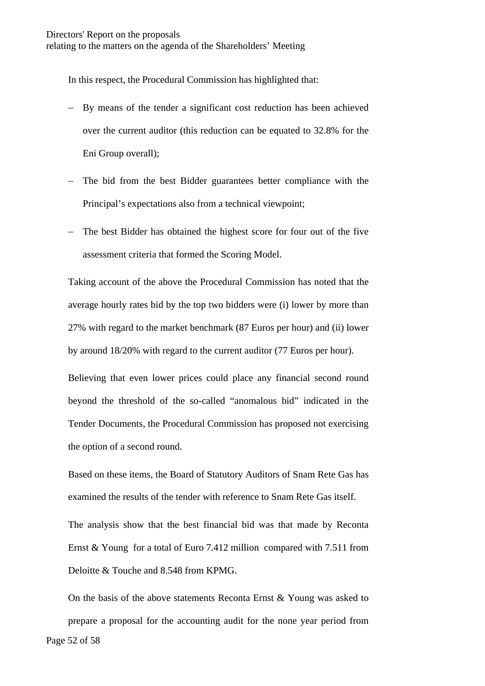In this respect, the Procedural Commission has highlighted that:

- − By means of the tender a significant cost reduction has been achieved over the current auditor (this reduction can be equated to 32.8% for the Eni Group overall);
- − The bid from the best Bidder guarantees better compliance with the Principal's expectations also from a technical viewpoint;
- − The best Bidder has obtained the highest score for four out of the five assessment criteria that formed the Scoring Model.

Taking account of the above the Procedural Commission has noted that the average hourly rates bid by the top two bidders were (i) lower by more than 27% with regard to the market benchmark (87 Euros per hour) and (ii) lower by around 18/20% with regard to the current auditor (77 Euros per hour).

Believing that even lower prices could place any financial second round beyond the threshold of the so-called "anomalous bid" indicated in the Tender Documents, the Procedural Commission has proposed not exercising the option of a second round.

Based on these items, the Board of Statutory Auditors of Snam Rete Gas has examined the results of the tender with reference to Snam Rete Gas itself.

The analysis show that the best financial bid was that made by Reconta Ernst & Young for a total of Euro 7.412 million compared with 7.511 from Deloitte & Touche and 8.548 from KPMG.

Page 52 of 58 On the basis of the above statements Reconta Ernst & Young was asked to prepare a proposal for the accounting audit for the none year period from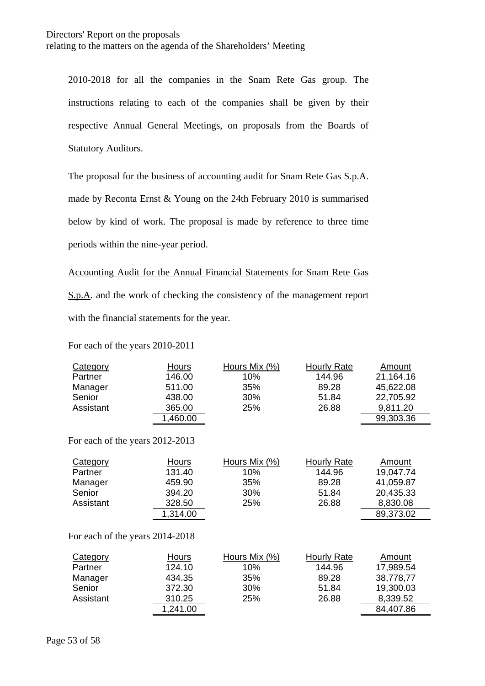2010-2018 for all the companies in the Snam Rete Gas group. The instructions relating to each of the companies shall be given by their respective Annual General Meetings, on proposals from the Boards of Statutory Auditors.

The proposal for the business of accounting audit for Snam Rete Gas S.p.A. made by Reconta Ernst & Young on the 24th February 2010 is summarised below by kind of work. The proposal is made by reference to three time periods within the nine-year period.

Accounting Audit for the Annual Financial Statements for Snam Rete Gas S.p.A. and the work of checking the consistency of the management report with the financial statements for the year.

For each of the years 2010-2011

| Category  | Hours    | Hours Mix (%) | <b>Hourly Rate</b> | Amount    |
|-----------|----------|---------------|--------------------|-----------|
| Partner   | 146.00   | $10\%$        | 144.96             | 21,164.16 |
| Manager   | 511.00   | 35%           | 89.28              | 45,622.08 |
| Senior    | 438.00   | 30%           | 51.84              | 22,705.92 |
| Assistant | 365.00   | 25%           | 26.88              | 9,811.20  |
|           | 1,460.00 |               |                    | 99,303.36 |

For each of the years 2012-2013

| Category  | Hours    | Hours Mix (%) | Hourly Rate | Amount    |
|-----------|----------|---------------|-------------|-----------|
| Partner   | 131.40   | 10%           | 144.96      | 19,047.74 |
| Manager   | 459.90   | 35%           | 89.28       | 41,059.87 |
| Senior    | 394.20   | 30%           | 51.84       | 20,435.33 |
| Assistant | 328.50   | 25%           | 26.88       | 8,830.08  |
|           | 1,314.00 |               |             | 89,373.02 |

For each of the years 2014-2018

| Category  | Hours    | Hours Mix (%) | Hourly Rate | Amount    |
|-----------|----------|---------------|-------------|-----------|
| Partner   | 124.10   | 10%           | 144.96      | 17,989.54 |
| Manager   | 434.35   | 35%           | 89.28       | 38,778,77 |
| Senior    | 372.30   | 30%           | 51.84       | 19,300.03 |
| Assistant | 310.25   | 25%           | 26.88       | 8,339.52  |
|           | 1,241.00 |               |             | 84,407.86 |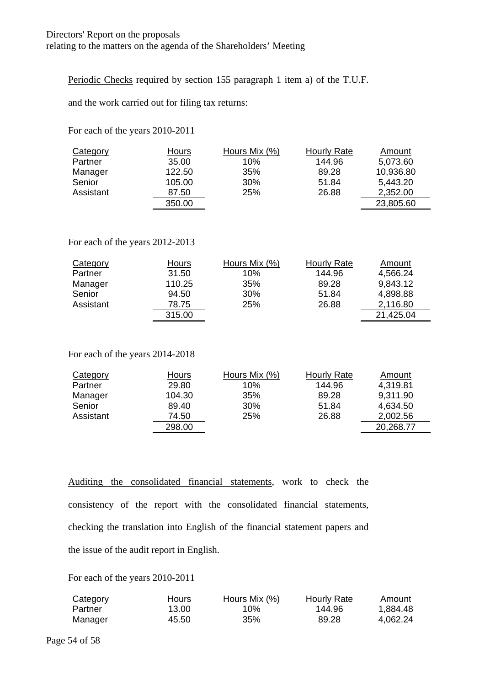Periodic Checks required by section 155 paragraph 1 item a) of the T.U.F.

and the work carried out for filing tax returns:

For each of the years 2010-2011

| <b>Category</b> | <b>Hours</b> | Hours Mix (%) | <b>Hourly Rate</b> | Amount    |
|-----------------|--------------|---------------|--------------------|-----------|
| Partner         | 35.00        | 10%           | 144.96             | 5,073.60  |
| Manager         | 122.50       | 35%           | 89.28              | 10,936.80 |
| Senior          | 105.00       | 30%           | 51.84              | 5,443.20  |
| Assistant       | 87.50        | 25%           | 26.88              | 2,352.00  |
|                 | 350.00       |               |                    | 23,805.60 |

### For each of the years 2012-2013

| Category  | Hours  | Hours Mix (%) | Hourly Rate | Amount    |
|-----------|--------|---------------|-------------|-----------|
| Partner   | 31.50  | 10%           | 144.96      | 4,566.24  |
| Manager   | 110.25 | 35%           | 89.28       | 9,843.12  |
| Senior    | 94.50  | 30%           | 51.84       | 4,898.88  |
| Assistant | 78.75  | 25%           | 26.88       | 2,116.80  |
|           | 315.00 |               |             | 21,425.04 |

For each of the years 2014-2018

| <b>Category</b> | Hours  | Hours Mix (%) | Hourly Rate | Amount    |
|-----------------|--------|---------------|-------------|-----------|
| Partner         | 29.80  | 10%           | 144.96      | 4,319.81  |
| Manager         | 104.30 | 35%           | 89.28       | 9,311.90  |
| Senior          | 89.40  | 30%           | 51.84       | 4,634.50  |
| Assistant       | 74.50  | 25%           | 26.88       | 2,002.56  |
|                 | 298.00 |               |             | 20,268.77 |

Auditing the consolidated financial statements, work to check the consistency of the report with the consolidated financial statements, checking the translation into English of the financial statement papers and the issue of the audit report in English.

For each of the years 2010-2011

| Category | Hours | Hours Mix (%) | Hourly Rate | Amount   |
|----------|-------|---------------|-------------|----------|
| Partner  | 13.00 | 10%           | 144.96      | 1.884.48 |
| Manager  | 45.50 | 35%           | 89.28       | 4.062.24 |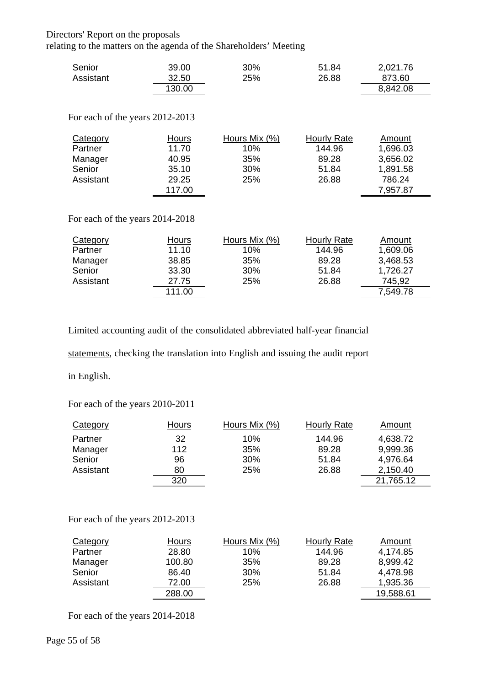### Directors' Report on the proposals

relating to the matters on the agenda of the Shareholders' Meeting

| Senior    | 39.00  | 30% | 51.84 | 2,021.76 |
|-----------|--------|-----|-------|----------|
| Assistant | 32.50  | 25% | 26.88 | 873.60   |
|           | 130.00 |     |       | 8,842.08 |

#### For each of the years 2012-2013

| Category  | Hours  | Hours Mix (%) | Hourly Rate | Amount   |
|-----------|--------|---------------|-------------|----------|
| Partner   | 11.70  | 10%           | 144.96      | 1,696.03 |
| Manager   | 40.95  | 35%           | 89.28       | 3,656.02 |
| Senior    | 35.10  | 30%           | 51.84       | 1,891.58 |
| Assistant | 29.25  | 25%           | 26.88       | 786.24   |
|           | 117.00 |               |             | 7,957.87 |

For each of the years 2014-2018

| Category  | Hours  | Hours Mix (%) | Hourly Rate | Amount   |
|-----------|--------|---------------|-------------|----------|
| Partner   | 11.10  | 10%           | 144.96      | 1,609.06 |
| Manager   | 38.85  | 35%           | 89.28       | 3,468.53 |
| Senior    | 33.30  | 30%           | 51.84       | 1,726.27 |
| Assistant | 27.75  | 25%           | 26.88       | 745.92   |
|           | 111.00 |               |             | 7,549.78 |

# Limited accounting audit of the consolidated abbreviated half-year financial

statements, checking the translation into English and issuing the audit report

in English.

### For each of the years 2010-2011

| Category  | Hours | Hours Mix (%) | Hourly Rate | Amount    |
|-----------|-------|---------------|-------------|-----------|
| Partner   | 32    | 10%           | 144.96      | 4,638.72  |
| Manager   | 112   | 35%           | 89.28       | 9,999.36  |
| Senior    | 96    | 30%           | 51.84       | 4,976.64  |
| Assistant | 80    | 25%           | 26.88       | 2,150.40  |
|           | 320   |               |             | 21,765.12 |

#### For each of the years 2012-2013

| Category  | Hours  | Hours Mix (%) | <b>Hourly Rate</b> | Amount    |
|-----------|--------|---------------|--------------------|-----------|
| Partner   | 28.80  | 10%           | 144.96             | 4,174.85  |
| Manager   | 100.80 | 35%           | 89.28              | 8,999.42  |
| Senior    | 86.40  | 30%           | 51.84              | 4,478.98  |
| Assistant | 72.00  | 25%           | 26.88              | 1,935.36  |
|           | 288.00 |               |                    | 19,588.61 |

For each of the years 2014-2018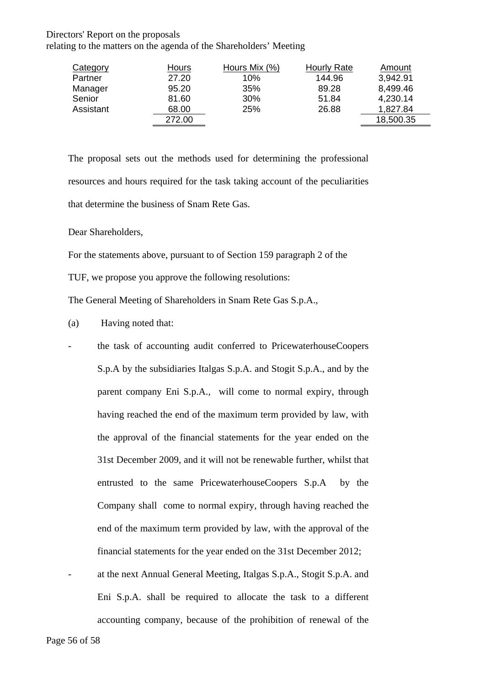#### Directors' Report on the proposals

relating to the matters on the agenda of the Shareholders' Meeting

| Category  | Hours  | Hours Mix (%) | <b>Hourly Rate</b> | Amount    |
|-----------|--------|---------------|--------------------|-----------|
| Partner   | 27.20  | 10%           | 144.96             | 3,942.91  |
| Manager   | 95.20  | 35%           | 89.28              | 8,499.46  |
| Senior    | 81.60  | 30%           | 51.84              | 4,230.14  |
| Assistant | 68.00  | 25%           | 26.88              | 1,827.84  |
|           | 272.00 |               |                    | 18,500.35 |

The proposal sets out the methods used for determining the professional resources and hours required for the task taking account of the peculiarities that determine the business of Snam Rete Gas.

Dear Shareholders,

For the statements above, pursuant to of Section 159 paragraph 2 of the

TUF, we propose you approve the following resolutions:

The General Meeting of Shareholders in Snam Rete Gas S.p.A.,

- (a) Having noted that:
- the task of accounting audit conferred to PricewaterhouseCoopers S.p.A by the subsidiaries Italgas S.p.A. and Stogit S.p.A., and by the parent company Eni S.p.A., will come to normal expiry, through having reached the end of the maximum term provided by law, with the approval of the financial statements for the year ended on the 31st December 2009, and it will not be renewable further, whilst that entrusted to the same PricewaterhouseCoopers S.p.A by the Company shall come to normal expiry, through having reached the end of the maximum term provided by law, with the approval of the financial statements for the year ended on the 31st December 2012;
- at the next Annual General Meeting, Italgas S.p.A., Stogit S.p.A. and Eni S.p.A. shall be required to allocate the task to a different accounting company, because of the prohibition of renewal of the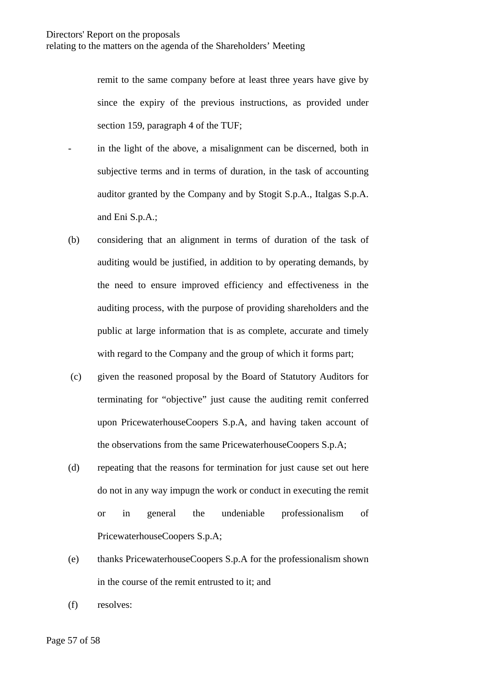remit to the same company before at least three years have give by since the expiry of the previous instructions, as provided under section 159, paragraph 4 of the TUF;

- in the light of the above, a misalignment can be discerned, both in subjective terms and in terms of duration, in the task of accounting auditor granted by the Company and by Stogit S.p.A., Italgas S.p.A. and Eni S.p.A.;
- (b) considering that an alignment in terms of duration of the task of auditing would be justified, in addition to by operating demands, by the need to ensure improved efficiency and effectiveness in the auditing process, with the purpose of providing shareholders and the public at large information that is as complete, accurate and timely with regard to the Company and the group of which it forms part;
- (c) given the reasoned proposal by the Board of Statutory Auditors for terminating for "objective" just cause the auditing remit conferred upon PricewaterhouseCoopers S.p.A, and having taken account of the observations from the same PricewaterhouseCoopers S.p.A;
- (d) repeating that the reasons for termination for just cause set out here do not in any way impugn the work or conduct in executing the remit or in general the undeniable professionalism of PricewaterhouseCoopers S.p.A;
- (e) thanks PricewaterhouseCoopers S.p.A for the professionalism shown in the course of the remit entrusted to it; and
- (f) resolves: